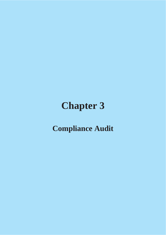# **Chapter 3**

## **Compliance Audit**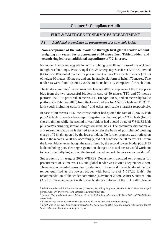## **Chapter 3: Compliance Audit**

## **FIRE & EMERGENCY SERVICES DEPARTMENT**

#### **3.1 Additional expenditure on procurement of a turn table ladder**

**Non-acceptance of the rate available through first global tender without assigning any reason for procurement of 30 metre Turn Table Ladder and retendering led to an additional expenditure of 2.41 crore.**

For modernization and upgradation of fire fighting capabilities in case of fire accidents in high-rise buildings, West Bengal Fire & Emergency Services (WBFES) invited (October 2008) global tenders for procurement of two Turn Table Ladders (TTLs) of height 30 metres, 50 metrse and one hydraulic platform of height 70 metres. Two tenderers were found (January 2009) to be technically competent for each item.

The tender committee<sup>1</sup> recommended (January 2009) acceptance of the lower price bids from the two successful bidders in case of 50 metres TTL and 70 metres platform. WBFES procured 50 metres TTL (in April 2009) and 70 metres hydraulic platform (in February 2010) from the lowest bidders for  $\bar{\tau}$  579.22 lakh and  $\bar{\tau}$  831.21 lakh (both including custom duty<sup>2</sup> and other applicable charges) respectively.

In case of 30 metres TTL, the lowest bidder had quoted the rate of  $\bar{\tau}$  296.45 lakh plus  $\bar{\tau}$  6 lakh (towards clearing/port/registration charges) plus  $\bar{\tau}$  3.25 lakh (for off shore training) while the second lowest bidder had quoted a rate of  $\bar{\xi}$  318.53 lakh plus port/clearing/registration charges on actual basis. The committee did not make any recommendation as it desired to ascertain the basis of port charge/ clearing charge of  $\bar{\tau}$  6 lakh quoted by the lowest bidder. No further progress was noticed on this in the records. WBFES, accordingly, did not purchase the 30 metres TTL from the lowest bidder even though the rate offered by the second lowest bidder ( $\overline{\xi}$  318.53 lakh excluding port/ clearing/ registration charges on actual basis) would work out to be substantially higher than the lowest one when port charges were considered<sup>3</sup>.

Subsequently in August 2009 WBFES Department decided to re-tender for procurement of 30 metres TTL and global tender was invited (September 2009). There was no recorded reason for this decision. The second lowest bidder of the first tender qualified as the lowest bidder with basic rate of  $\bar{\tau}$  537.22 lakh<sup>4</sup>. On recommendation of the tender committee (November 2009), WBFES entered into (April 2010) an agreement with lowest bidder for delivery of the TTL within twelve

1 *Which included Addl. Director General, Director, Dy. Chief Engineer (Mechanical), Kolkata Municipal Corporation, Dy. Director of Fire Services (Administration) etc.*

<sup>&</sup>lt;sup>2</sup> Customs Duty paid on 50 metres TTL and 70 metres hydraulic platform were ₹117.84 lakh and ₹149.20 lakh *respectively.*

<sup>3</sup> *302.45 lakh including port charges as against 318.53 lakh excluding port charges*

<sup>4</sup> *Which was 69* per cent *higher as compared to the basic rate ( 318.54 lakh) offered by the second lowest bidder 10 months back against the first tender*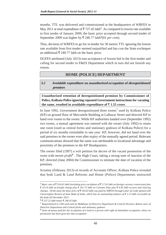months. TTL was delivered and commissioned at the headquarters of WBFES in May 2011 at total expenditure of  $\bar{\tau}$  727.45 lakh<sup>5</sup>. As compared to lowest rate available in first tender of January 2009, the basic price accepted through second tender of September 2009 was higher by  $\bar{\tau}$  240.77 lakh<sup>6</sup>(81 *per cent*).

Thus, decision of WBFES to go for re-tender for 30 metres TTL ignoring the lowest rate available from first tender seemed unjustified and has cost the State exchequer an additional  $\bar{\xi}$  240.77 lakh on the basic price.

DGFES attributed (July 2013) non-acceptance of lowest bid in the first tender and calling for second tender to F&ES Department which in turn did not furnish any reason.

## **HOME (POLICE) DEPARTMENT**

**3.2 Avoidable expenditure on unauthorised occupation of derequisitioned premises**

**Unauthorised retention of derequisitioned premises by Commissioner of Police, Kolkata Police ignoring repeated Government instructions for vacating** the same, resulted in avoidable expenditure of  $\bar{z}$  1.55 crore.

In June 1992, Government derequisitioned three rooms<sup>7</sup> used by Kolkata Police (KP) on ground floor of Mercantile Building at Lalbazar Street and directed KP to hand over rooms to the owner. While KP authorities handed over (September 1992) two rooms, a mutual agreement was entered with the owner (July 1992) to retain one room (used as central forms and stationary godown of Kolkata Police) for a period of six months extendable to one year. KP, however, did not hand over the said premises to the owner even after expiry of the mutually agreed period. Relevant communications showed that the same was attributable to locational advantage and proximity of the premises to the KP Headquarters.

The owner filed (1997) a writ petition for decree of the vacant possession of the room with *mesne profit8* . The High Court, taking a strong note of inaction of the KP, directed (June 2004) the Commissioner to intimate the date of vacation of the premises.

Scrutiny (February 2013) of records of Accounts Officer, Kolkata Police revealed that both Land & Land Reforms and Home (Police) Departments instructed

<sup>5</sup> *Basic rate of 554.63 lakh (including price escalation of 17.41 lakh on foreign currency conversion) plus 10.14 lakh on freight charge plus 161.73 lakh on Customs Duty plus 0.95 lakh on port and clearing charges. Of the same the basic price of 554.63 lakh was paid by WBFES through Letter of credit opened with Chowringhee Branch of State Bank of India, which has an outstanding balance of 2.13 lakh receivable by the bank till December 2012.*

<sup>6</sup> *537.22 lakh minus 296.45 lakh*

<sup>7</sup> *Requisitioned in 1943 and used as Malkhana of Detective Department & Central Division, Ration store of Detective Department and Central forms and stationary godown*

<sup>8</sup> *Sums of money paid for the occupation of a land to a person with right of immediate occupation, where no permission has been given for that occupation*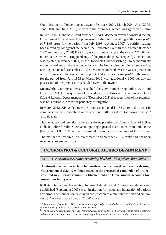Commissioner of Police time and again (February 2004, March 2004, April 2004, June 2004 and June 2006) to vacate the premises, which was ignored by him.

In April 2007, Honorable Court provided *ex parte* decree in favour of owner directing Government to hand over the possession of the premises along with *mesne profit* of  $\bar{\tau}$  1.05 crore for the period from July 1993 to August 2007. A petition having been moved by KP against the decree, the Honorable Court further directed (October 2007 and February 2008) KP to pay occupational charge at the rate of  $\bar{\tau}$  20000 per month to the owner during pendency of the proceedings. Subsequently, the petition was rejected (November 2011) by the Honorable Court describing it to be thoroughly misconceived and an abuse of power by KP. The Honorable Court, in its final verdict, once again directed (December 2011) Government to hand over the vacant possession of the premises to the owner and to pay  $\bar{\tau}$  1.54 crore as *mesne profit* to the owner for the period from July 1993 to March 2012 with additional  $\bar{\tau}$  1000 per day till possession of the premises was handed over to the owner.

Meanwhile, Commissioner approached the Government (September 2011 and December 2011) for acquisition of the said premises. However, Government in Land & Land Reforms Department opined (December 2011) that acquisition of the premises was not advisable in view of pendency of litigation.

In March 2012, KP handed over the premises and paid  $\bar{\tau}$  1.55 crore to the owner in compliance of the Honorable Court's order and shifted its stores to its own premises<sup>9</sup> in Lalbazar.

Thus, unauthorised retention of derequisitioned premises by Commissioner of Police, Kolkata Police for almost 20 years ignoring repeated instructions from both Home (Police) and L&LR Departments, resulted in avoidable expenditure of  $\bar{\tau}$  1.55 crore.

The matter was referred to Government in September 2013; reply had not been received (December 2013).

## **INFORMATION & CULTURAL AFFAIRS DEPARTMENT**

#### **3.3 Government assistance remaining blocked with a private foundation**

**Allotment of encumbered land for construction of cultural centre and releasing Government assistance without assessing the prospect of completion of project resulted in 3 crore remaining blocked outside Government accounts for more than four years.**

Kolkata International Foundation for Arts, Literature and Culture (Foundation) was established (September 2003) as an institution for fusion and interaction of various art forms. The Foundation envisaged construction of a multipurpose art and cultural centre<sup>10</sup> at an estimated cost of  $\bar{\tau}$ 16.41 crore.

<sup>9</sup> *It is intimated (September 2013) that stores are temporarily kept at the basement of the Central Lock-up, Lalbazar, by way of enclosing a portion of the basement.*

<sup>10</sup> *Which would house an auditorium-cum-lecture theatre, an art gallery, a library and reading room, a cafeteria and restaurant, an archive and conservation unit, a publication unit, guestrooms, studios and workshops.*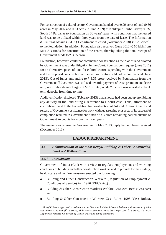For construction of cultural centre, Government handed over 0.99 acres of land (0.66 acres in May 2007 and 0.33 acres in June 2009) at Kalikapur, Purba Jadavpur PS, South 24 Parganas to Foundation on 30 years' lease, with condition that the leased land was to be utilized within three years from the date of lease. The Information & Cultural Affairs (I&CA) Department released (November 2008)  $\bar{\xi}$  3.25 crore<sup>11</sup> to the Foundation. In addition, Foundation also received (June 2010)  $\bar{\tau}$  10 lakh from MPLAD funds for construction of the centre, thereby taking the total receipt of Government funds to  $\bar{\xi}$  3.35 crore.

Foundation, however, could not commence construction as the plot of land allotted by Government was under litigation in the Court. Foundation's request (June 2011) for an alternative piece of land for cultural centre is pending with the Government and the proposed construction of the cultural centre could not be commenced (June 2013). Out of funds amounting to  $\overline{\xi}$  3.35 crore received by Foundation from the Government,  $\bar{\xi}$  0.35 crore was utilized towards payment of lease premium and lease rent, registration/legal charges, KMC tax etc., while  $\bar{\tau}$  3 crore was invested in bank term deposits from time to time.

Audit verification disclosed (February 2013) that a notice had been put up prohibiting any activity in the land citing a reference to a court case. Thus, allotment of encumbered land to the Foundation for construction of Art and Cultural Centre and release of Government assistance for work without assessing prospects of its successful completion resulted in Government funds of  $\overline{\xi}$  3 crore remaining parked outside of Government Accounts for more than four years.

The matter was referred to Government in May 2013; reply had not been received (December 2013).

## **LABOUR DEPARTMENT**

**3.4 Administration of the West Bengal Building & Other Construction Workers' Welfare Fund**

## **3.4.1 Introduction**

Government of India (GoI) with a view to regulate employment and working conditions of building and other construction workers and to provide for their safety, health-care and welfare measures enacted the following:

- Building and Other Construction Workers (Regulation of Employment  $\&$ Conditions of Service) Act, 1996 (RECS Act) ,
- Building & Other Construction Workers Welfare Cess Act, 1996 (Cess Act) and
- Building & Other Construction Workers Cess Rules, 1998 (Cess Rules).

<sup>11</sup> *Out of 5 crore approved as assistance under One time Additional Central Assistance, Government of India was to bear 30* per cent *( 1.5 crore), while State Government was to bear 70* per cent *( 3.5 crore). The I&CA Department released full portion of Central share and half of State share.*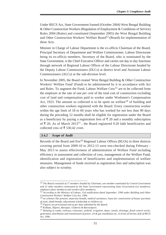Under RECS Act, State Government framed (October 2004) West Bengal Building & Other Construction Workers (Regulation of Employment & Conditions of Service) Rules 2004 (Rules) and constituted (September 2005) the West Bengal Building and Other Construction Workers' Welfare Board<sup>12</sup> (Board) for implementation of these Acts.

Minister in Charge of Labour Department is the ex-officio Chairman of the Board, Principal Secretary of Department and Welfare Commissioner, Labour Directorate being its ex-officio members. Secretary of the Board, who is nominated by the State Government, is the Chief Executive Officer and carries out day to day functions through network of Regional Labour Offices of the Labour Directorate headed by the Deputy Labour Commissioners (DLCs) at district level and Assistant Labour Commissioners (ALCs) at the sub-division level.

In November 2005, the Board created 'West Bengal Building & Other Construction Workers' Welfare Fund' (Fund) to be administered by it in accordance with Act and Rules. To augment the Fund, Labour Welfare  $Cess<sup>13</sup>$  are to be collected from the employer at the rate of one *per cent* of the total cost of construction excluding cost of land and compensation paid to worker under Workmen's Compensation Act, 1923. The amount so collected is to be spent on welfare<sup>14</sup> of building and other construction workers registered with the Board. Every construction worker within the age limit of 18 to 60 years who has worked for not less than 90 days during the preceding 12 months shall be eligible for registration under the Board as a beneficiary by paying a registration fees of  $\bar{\tau}$  20 and a monthly subscription of  $\bar{\xi}$  20. As of March 2013<sup>15</sup>, the Board registered 9.20 lakh beneficiaries and collected cess of ₹ 530.42 crore.

#### **3.4.2 Scope of Audit**

Records of the Board and five<sup>16</sup> Regional Labour Offices (RLOs) in three districts covering period from 2009-10 to 2012-13 were test-checked during February - May 2013 to assess effectiveness of administration of Welfare Fund including efficiency in assessment and collection of cess, management of the Welfare Fund, identification and registration of beneficiaries and implementation of welfare measures. Management of funds received as registration fees and subscription was also subject to scrutiny.

<sup>12</sup> *The Board consisted of 17 members headed by Chairman, one member nominated by Central Government and 15 other members nominated by the State Government representing State Government (six members), employers (four members) and workers (five members).*

<sup>13</sup> *According to the Ministry of Labour, GoI notification dated September, 1996 under Building and Other Construction Workers' Welfare Cess Act, 1996.*

<sup>14</sup> *on schemes like pension, maternity benefit, medical assistance, loans for construction of house/ purchase of tools, death benefit, educational scholarship to children etc.*

<sup>15</sup> *Figures are provisional and as per data submitted by the Board.*

<sup>16</sup> *Kolkata, Alipore, Baruipur, Uluberia & Barrackpore.*

<sup>17</sup> *Relating to roads, railways, tramways, airfield, irrigation, dams, canals, drainage, flood control works, generation, distribution and transmission of power, oil & gas installation etc. in terms of Section 2(d) of RECS Act, 1996.*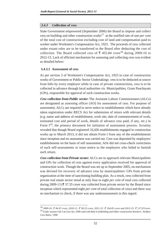#### **3.4.3 Collection of cess**

State Government empowered (September 2006) the Board to impose and collect cess on building and other construction works17 at the notified rate of one *per cent* of the total cost of construction excluding cost of land and compensation paid to worker under Workmen's Compensation Act, 1923. The proceeds of cess collected under extant rules are to be transferred to the Board after deducting the cost of collection. The Board collected cess of  $\bar{\tau}$  455.84 crore<sup>18</sup> during 2009-10 to 2012-13. Lack of efficient mechanism for assessing and collecting cess was evident as detailed below:

#### **3.4.3.1 Assessment of cess**

As per section 3 of Workmen's Compensation Act, 1923 in case of construction works of Government or Public Sector Undertakings cess is to be deducted at source from bills by every employer while in case of private constructions, cess is to be collected in advance through local authorities *viz.* Municipalities, Gram Panchayats (GPs), responsible for approval of such construction works.

**Cess collection from Public sector:** The Assistant Labour Commissioners (ALCs) are designated as assessing officer (AO) for assessment of cess. For purpose of assessment, ALCs are required to serve notice to establishments which have already taken registration under RECS Act for submission of return with relevant details (e.g. name and address of establishment, work site, date of commencement of work, estimated cost and period of work, details of advance cess paid, if any, etc.) in Form  $I^{19}$ , the primary document for initiation of assessment process. Scrutiny revealed that though Board registered 16,426 establishments engaged in construction works up to March 2013, it did not obtain Form I from any of the establishments since inception and no assessment was carried out. Cess was deposited by employers/ establishments on the basis of self assessment; AOs did not cross-check correctness of such self-assessments or issue notice to the employers who failed to furnish such return.

**Cess collection from Private sector:** ALCs are to approach relevant Municipalities and GPs for collection of cess against every application received for approval of construction work. Though the Board was set up in September 2005, no mechanism was devised for recovery of advance cess by municipalities/ GPs from private organization at the time of sanctioning building plan. As a result, cess collected from private real estate sector stood at only four to eight *per cent* of total cess collected during 2009-13 ( $\overline{\xi}$  37.35 crore was collected from private sector by the Board since inception which represented eight *per cent* of total collection of cess) and there was no mechanism to check, if there was any underassessment in this regard.

<sup>18 2009-10: ₹ 84.47</sup> crore, 2010-11: ₹ 90.25 crore, 2011-12: ₹ 164.05 crore and 2012-13: ₹ 117.07 crore. <sup>19</sup> *Under section 4 & 5 of Cess Act, 1996 read with Rule 6 of Building and Other construction Workers', Welfare Cess Rules, 1998.*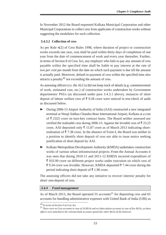In November 2012 the Board requested Kolkata Municipal Corporation and other Municipal Corporations to collect cess from applicants of construction works without suggesting the modalities for such collection.

#### **3.4.3.2 Collection of cess**

As per Rule 4(2) of Cess Rules 1998, where duration of project or construction works exceeds one year, cess shall be paid within thirty days of completion of one year from the date of commencement of work and every year thereafter. Further, in terms of Section 8 of Cess Act, any employer who fails to pay any amount of cess payable within the specified time shall be liable to pay interest at the rate of two *per cent* per month from the date on which such payment is due till the amount is actually paid. Moreover, default in payment of cess within the specified time also attracts a penalty<sup>20</sup> not exceeding the amount of cess.

As assessing officers (*i.e.* the ALCs) did not keep track of details (e.g. commencement of work, estimated cost, etc.) of construction works undertaken by Government departments/ PSUs (as discussed under para 3.4.3.1 above), instances of short deposit of labour welfare cess of  $\bar{\tau}$  9.28 crore were noticed in test-check of audit as discussed below.

- ➤ During 2006-13 Airport Authority of India (AAI) constructed a new integrated terminal at Netaji Subhas Chandra Bose International Airport, Kolkata at a cost of  $\bar{\tau}$  2325 crore on turn-key contract basis. The Board neither assessed nor verified the realisable cess during 2006-13. Against the leviable cess of  $\bar{\tau}$  23.25 crore, AAI deposited only  $\overline{\xi}$  15.87 crore as of March 2013 indicating shortrealisation of  $\bar{\xi}$  7.38 crore. In the absence of Form-I, the Board was neither in a position to identify short deposit of cess nor able to issue notice seeking justification of short deposit by AAI.
- ➤ Kolkata Metropolitan Development Authority (KMDA) undertakes construction works of various urban infrastructural projects. From the Annual Accounts it was seen that during 2010-11 and 2011-12 KMDA incurred expenditure of 933.99 crore on different project works under execution on which cess of ₹9.34 crore was leviable. However, KMDA deposited ₹7.44 crore during the period indicating short deposit of  $\bar{\tau}$  1.90 crore.

The assessing officers did not take any initiative to recover interest/ penalty for short/ non-deposit of cess.

#### **3.4.4 Fund management**

As of March 2013, the Board operated 55 accounts<sup>21</sup> for depositing cess and 65 accounts for handling administrative expenses with United Bank of India (UBI) as

<sup>20</sup> *In terms of Section 9 of Cess Act.*

<sup>21</sup> *There were no Cess accounts in case of 10 RLOs and no Subscription accounts in case of five RLOs, as these offices were attached to the relevant bank accounts opened for other RLOs of the Districts.*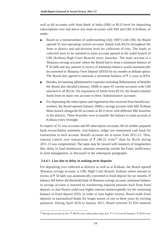well as 60 accounts with State Bank of India (SBI) at RLO level for depositing subscriptions over and above two main accounts with SBI and UBI at Kolkata, as under:

- Based on a memorandum of understanding (July 2007) with UBI, the Board opened 55 non-operating current accounts linked with RLOs throughout the State at district and sub-division level for collection of cess. The funds so collected were to be remitted to main account opened at the nodal branch of UBI (Kolkata High Court Branch) every Saturday. The main account is a 'Bonanza savings account' where the Board had to keep a minimum balance of  $\bar{\xi}$  50 lakh and any amount in excess of minimum balance would automatically be converted to 'Bonanza Term Deposit' (BTD) for six months as default option. The Board also agreed to maintain a minimum balance of  $\bar{\xi}$  2 crore in BTD.
- Besides, for meeting administrative expenses including disbursement of benefits the Board also decided (January 2008) to open 65 current accounts with UBI attached to all RLOs. On requisition of funds from RLOs, the Board remitted funds from its main cess account to these 'Administrative accounts'.
- For depositing the subscription and registration fees received from beneficiaryworkers, the Board opened (January 2006) a savings account with SBI, Kolkata Main branch alongwith 60 accounts at RLO level with different SBI branches in the districts. These branches were to transfer the balance to main account at Kolkata every fortnight.

In respect of 55 cess accounts and 60 subscription accounts, RLOs neither prepared bank reconciliation statement, trial balance, ledger nor maintained cash book for transactions in each account. Board's accounts are in arrear from 2011-12. Thus, internal control over transactions of  $\bar{\tau}$  346.22 crore<sup>22</sup> done by RLOs during 2011-13 was compromised. The same may be viewed with instances of irregularities like, delay in fund remittances, amounts remaining outside the Fund, inefficiency in fund management, as discussed in the subsequent paragraphs.

## **3.4.4.1 Loss due to delay in making term deposits**

For depositing cess collected at districts as well as at Kolkata, the Board opened 'Bonanza savings account' at UBI, High Court Branch, Kolkata where amount in excess of  $\bar{\tau}$  50 lakh was automatically converted to fixed deposit for six months. If balance fell below the threshold limit of Bonanza savings account, minimum balance in savings account is restored by transferring required amounts back from fixed deposit, so that Board could earn higher interest uninterruptedly for the remaining balance in fixed deposit (FD). In order to earn higher returns, Board made fixed deposits in nationalized banks for longer tenure of one to three years by inviting quotation. During April 2010 to January 2013, Board renewed 35 FDs matured

<sup>22</sup> *Receipt on account of cess: 280.90 crore, Subscription/ Reg. fees: 17.14 crore & Payment: 48.18 crore.*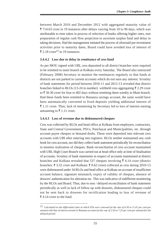between March 2010 and December 2012 with aggregated maturity value of  $\overline{\xi}$  714.63 crore in 19 instances after delays varying from 10 to 96 days, which was attributable to time taken in process of selection of banks offering higher rates, non preparation of regular cash flow projection to ascertain surplus fund and delay in taking decisions. Had the management initiated the process of aforesaid pre-investment activities prior to maturity dates, Board could have avoided loss of interest of ₹ 2.18 crore<sup>23</sup> in 19 instances.

#### **3.4.4.2 Loss due to delay in remittance of cess fund**

As per MOU signed with UBI, cess deposited to all district branches were required to be remitted to main branch at Kolkata every Saturday. The Board also instructed (February 2008) Secretary to monitor the remittances regularly so that funds at districts are not parked in current accounts which do not earn any interest. Scrutiny of bank statements for period between 2010-11 and 2012-13 revealed that district branches linked to RLOs (13-24 in number) withheld cess aggregating  $\bar{\xi}$  2.29 crore to  $\bar{\xi}$  50.30 crore for four to 402 days without remitting them weekly to Main branch. Had these funds been remitted to Bonanza savings account, the same would have been automatically converted to fixed deposits yielding additional interest of  $\bar{\xi}$  1.11 crore. Thus, lack of monitoring by Secretary led to loss of interest earning amounting to  $\bar{\tau}$  1.11 crore.

#### **3.4.4.3 Loss of revenue due to dishonoured cheques**

Cess was collected by RLOs and head office at Kolkata from employers, contractors, State and Central Government, PSUs, Panchayat and Municipalities, etc. through account payee cheques or demand drafts. These were deposited into relevant cess accounts with UBI after entering into registers. RLOs neither maintained any cash book for cess account, nor did they collect bank statement periodically for reconciliation to monitor realization of cheques. Bank reconciliation of cess account maintained with UBI, High Court Branch was carried out at head office only at time of finalisation of accounts. Scrutiny of bank statements in respect of accounts maintained at district branches and Kolkata revealed that 537 cheques involving  $\bar{\tau}$  4.14 crore (district branches:  $\bar{\tau}$  3.52 crore and Kolkata:  $\bar{\tau}$  0.62 crore) collected as cess during 2010-13 were dishonoured under 34 RLOs and head office at Kolkata on account of insufficient account balance, signature mismatch, expiry of validity of cheques, absence of drawers' authentication for alteration etc. This was indicative of indifferent monitoring by the RLOs and Board. Thus, due to non / delayed reconciliation of bank statement periodically as well as lack of follow up with drawees, dishonoured cheques could not be sent back to drawees for rectification leading to loss of revenue of ₹4.14 crore to the fund.

<sup>23</sup> *Calculated on the differential rates at which FDs were renewed (at the rate of 6.50 to 11.01 per cent per annum) with that of interest earned in Bonanza account (at the rate of 2.50 to 7.25 per cent per annum) for the delayed period.*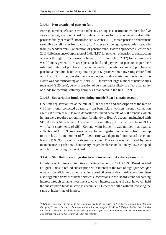## **3.4.4.4 Non creation of pension fund**

For registered beneficiaries who had been working as construction workers for five years after registration, Board formulated schemes for old age pension/ disability pension/ family pension<sup>24</sup>. Board decided (October 2010) to start pension disbursement to eligible beneficiaries from January 2011 after sanctioning payment orders centrally from its headquarters. For creation of pension fund, Board approached (September 2011) Life Insurance Corporation of India (LIC) for payment of pension to construction workers through LIC's pension scheme. LIC offered (July 2012) two alternatives *viz.* (a) management of Board's pension fund and payment of pension as per their rules with return of purchase price on the death of beneficiary and (b) purchase of pension at the time beneficiary attain age of 60 years without investing entire fund with LIC. No further development was noticed in this matter and decision of the Board was not forthcoming as of April 2013. In view of large number of beneficiaries registered (9.20 lakh), delay in creation of pension fund is likely to affect availability of funds for meeting statutory liability as mandated in the RECS Act.

## **3.4.4.5 Subscription funds remaining outside Board's main account**

One time registration fee at the rate of  $\bar{\tau}$  20 per head and subscription at the rate of  $\bar{\tau}$  20 per month collected quarterly from beneficiary workers through collection agents at different RLOs were deposited to linked accounts of SBI branches which in turn were required to remit funds fortnightly to Board's account maintained with SBI, Kolkata Main branch. On scrutinizing monthly returns received from RLOs with bank statements of SBI, Kolkata Main branch it was noticed that against collection of  $\bar{\tau}$  17.59 crore towards beneficiary registration fee and subscription up to March 2013, an amount of  $\bar{\tau}$  10.90 crore was deposited into Board's account leaving  $\bar{\tau}$  6.69 crore outside its main account. The same was facilitated by nonmaintenance of cash book, beneficiary ledger, bank reconciliation by RLOs coupled with lax monitoring by the Board.

## **3.4.4.6 Shortfall in earnings due to non investment of subscription fund**

On advice of Advisory Committee, constituted under RECS Act 1996, Board decided (August 2008) to refund subscription with interest at the rate of eight *per cent per annum* to beneficiaries on their attaining age of 60 years or death. Advisory Committee also suggested transfer of beneficiaries' subscriptions to the Board's fund for earning interest through suitable investment to cover interest payable. Board, however, held the subscription funds in savings accounts till December 2012 without investing the same at higher rate of interest.

<sup>&</sup>lt;sup>24</sup> Old age pension at the rate of  $\bar{\tau}$  400 which was gradually increased to  $\bar{\tau}$  750 per month on their attaining *the age of 60 years. Besides, enhancement of monthly pension from*  $\bar{\tau}$  *500 to*  $\bar{\tau}$  *750 for disabled beneficiaries and family pension at the rate of 50 per cent of amount of pension which the beneficiary used to receive were also introduced (July 2009/ March 2010) in the scheme.*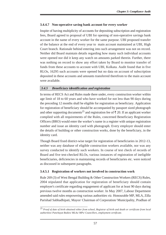## **3.4.4.7 Non-operative saving bank account for every worker**

Inspite of having multiplicity of accounts for depositing subscription and registration fees, Board agreed to proposal of UBI for opening of non-operative savings bank account in the name of every worker for the same purpose. UBI proposed transfer of the balance at the end of every year to main account maintained at UBI, High Court branch. Rationale behind entering into such arrangement was not on record. Neither did Board maintain details regarding how many such individual accounts were opened nor did it keep any watch on amounts parked therein. Further, there was nothing on record to show any effort taken by Board to monitor transfer of funds from these accounts to account with UBI, Kolkata. Audit found that in five RLOs, 16295 such accounts were opened but no data on account of subscription deposited in these accounts and amounts transferred therefrom to the main account were available.

## **3.4.5 Beneficiary identification and registration**

In terms of RECS Act and Rules made there under, every construction worker within age limit of 18 to 60 years and who have worked for not less than 90 days during the preceding 12 months shall be eligible for registration as beneficiary. Application for registration of beneficiary should be accompanied by passport sized photograph and other supporting documents<sup>25</sup> and registration fee of  $\bar{\tau}$  20. If an applicant worker complied with all requirements of the Rules, concerned Beneficiary Registration Officers (BRO) would enter the worker's name in a register with unique registration number and issue an identity card with photograph. Every employer should enter the details of building or other construction works, done by the beneficiary, in the identity card.

Though Board fixed district-wise target for registration of beneficiaries in 2012-13, neither was any database of eligible construction workers available, nor was any survey conducted to identify such workers. In course of test check of records of Board and five test-checked RLOs, various instances of registration of ineligible beneficiaries, deficiencies in maintaining records of beneficiaries etc. were noticed as discussed in subsequent paragraphs.

## **3.4.5.1 Registration of workers not involved in construction work**

Rule 269 (3) of West Bengal Building & Other Construction Workers (RECS) Rules, 2004 stipulated that application for registration of beneficiary should contain employer's certificate regarding engagement of applicant for at least 90 days during previous twelve months as construction worker. In May 2007, Labour Department amended said rules empowering various authorities *viz.* Honourable MP, MLA, Zilla Parishad Sabhadhipati, Mayor/ Chairman of Corporation/ Municipality, Pradhan of

<sup>25</sup> *Proof of date of birth obtained either from school, Registrar of birth and death or certificate from local authorities/ Panchayat Bodies/ MLAs/ MPs/ Councillors, employment certificate.*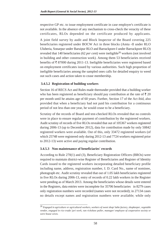respective GP etc. to issue employment certificate in case employer's certificate is not available. In the absence of any mechanism to cross-check the veracity of these certificates, RLOs depended on the certificate produced by applicants.

A joint field survey by audit and Block Inspector of the Board covering 225 beneficiaries registered under BOCW Act in three blocks (Amta -II under RLO Uluberia, Sonarpur under Baruipur RLO and Barrackpore-I under Barrackpore RLO) revealed that 140 beneficiaries (62 *per cent*) were ineligible<sup>26</sup> workers (not involved in building and other construction work). Among them 53 beneficiaries received benefits of  $\bar{\tau}$  87000 during 2011-13. Ineligible beneficiaries were registered based on employment certificates issued by various authorities. Such high proportion of ineligible beneficiaries among the sampled ones calls for detailed enquiry to weed out such cases and action taken to cease membership.

## **3.4.5.2 Registration of building workers**

Section 16 of RECS Act and Rules made thereunder provided that a building worker who has been registered as beneficiary should pay contribution at the rate of  $\bar{\mathfrak{r}}$  20 per month until he attains age of 60 years. Further, Section 17 of the Act ibid, also provided that when a beneficiary had not paid his contribution for a continuous period of not less than one year, he would cease to be a beneficiary.

Scrutiny of the records of Board and test-checked RLOs revealed that no controls were in place to ensure regular payment of contribution by the registered workers. Audit scrutiny of records of five RLOs revealed that out of 105367 workers registered during 2006-13 (up to December 2012), data for contribution made by only 50842 registered workers were available. Out of this, only 33472 registered workers (of which 25748 were registered only during 2012-13 and 7724 workers registered prior to 2012-13) were active and paying regular contribution.

#### **3.4.5.3 Non maintenance of beneficiaries' records**

According to Rule 270(1) and (3), Beneficiary Registration Officers (BROs) were required to maintain district-wise Register of Beneficiaries and Register of Identity Cards issued to the registered workers incorporating detailed beneficiary profile including name, address, registration number, I. D. Card No., name of nominee, photograph etc. Audit scrutiny revealed that out of 1.05 lakh beneficiaries registered in five RLOs during 2006-13, entry of records of 0.22 lakh workers in the Register were pending as of March 2013. Among the beneficiaries whose details were entered in the Registers, data entries were incomplete for 35706 beneficiaries in 8279 cases only registration numbers were recorded (names were not recorded); in 27134 cases no details except names and registration numbers were available; while only

<sup>26</sup> *Engaged in agriculture or agricultural workers, workers of sweet shop/ lathe factory, shopkeeper, vegetable vendor, engaged in rice trade/ jari work, van rickshaw puller, manager/ employee of cooperative society or were house wives.*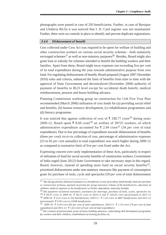photographs were pasted in case of 293 beneficiaries. Further, in case of Baruipur and Uluberia RLOs it was noticed that I. D. Card register was not maintained. Further, there were no controls in place to identify and prevent duplicate registrations.

#### **3.4.6 Disbursement of benefit**

Cess collected under Cess Act was required to be spent for welfare of building and other construction workers on various social security schemes - both statutorily envisaged schemes<sup>27</sup> as well as non-statutory purposes<sup>28</sup>. Besides, Board might also grant loan or subsidy for schemes intended to benefit the building workers and their families. Apart from these, Board might incur expenses not exceeding five *per cent* of its total expenditure during the year towards administrative purpose from cess fund. For regulating disbursement of benefit, Board prepared (August 2007-December 2010) rules and criteria, enhanced the limit of benefits from time to time with the approval of State Government and decentralized (November 2009) authority of payment of benefits to RLO level except for accidental death benefit, medical reimbursement, pension and house building advance.

Planning Commission working group on construction for 11th Five Year Plan recommended (March 2006) utilisation of cess funds for (a) providing social relief and benefits, (b) human resource development, (c) rehabilitation programmes and (d) literacy programme.

It was noticed that against collection of cess of  $\bar{\tau}$  338.77 crore<sup>29</sup> during years 2009-12, Board spent  $\bar{\xi}$  8.69 crore<sup>30</sup> on welfare of 39725 workers, of which administrative expenditure accounted for  $\bar{\tau}$  2.94 crore<sup>31</sup> (34 *per cent* of total expenditure). Due to low percentage of expenditure towards disbursement of benefits (three *per cent*) *vis-à-vis* collection of cess, percentage of administrative expenses (23 to 82 *per cent* annually) to total expenditure was much higher during 2009-12 as compared to normative limit of five *per cent* fixed under the Act.

Expressing concern over tardy implementation of these Acts, particularly in respect of utilisation of fund for social security benefits of construction workers, Government of India urged (June 2012) State Government to take necessary steps in this regard. Board, however, instead of spending more fund on social security benefits<sup>32</sup>, prioritised disbursement under non-statutory measures like payment of consumption grant for purchase of tools, cycle and spectacles (59 *per cent* of total disbursement

<sup>27</sup> *like old age pension, financial assistance to a beneficiary in case of accident, death benefit, loans for purchase or construction of house, payment of premia for group insurance scheme of the beneficiaries, education of children, medical expenses to the beneficiaries or his/her dependents, maternity benefits*

<sup>28</sup> *like payments of funeral assistance, assistance for marriage, purchase of tools, cycles, spectacles etc* <sup>29</sup> ₹ 84.47 crore in 2009-10; ₹ 90.25 crore in 2010-11 and ₹ 164.05 crore (provisional) in 2011-12 <sup>30</sup> 2009-10: ₹ 0.22 crore to 532 beneficiaries; 2010-11: ₹ 1.54 crore to 6847 beneficiaries and 2011-12 *(provisional): 6.93 crore to 32346 beneficiaries*

 $31$  2009-10:  $\bar{\epsilon}$  0.18 crore (82 per cent of total expenditure); 2010-11:  $\bar{\epsilon}$  1.14 crore (74 per cent of total *expenditure) and 2011-12:*  $\bar{\tau}$  1.62 crore (23 per cent of total expenditure)

<sup>32</sup> *like creation of pension fund, grant of house building advances, undertaking skill development programme for workers and their children, establishment of training facilities etc.*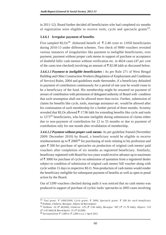in 2011-12). Board further decided all beneficiaries who had completed six months of registration were eligible to receive tools, cycle and spectacle grants  $33$ .

#### **3.4.6.1 Irregular payment of benefits**

Five sampled RLOs<sup>34</sup> disbursed benefit of  $\bar{\tau}$  2.40 crore to 11050 beneficiaries during 2010-13 under different schemes. Test check of 9900 vouchers revealed various instances of irregularities like payment to ineligible beneficiaries, over payment, payment without proper cash memo in support of purchase or acceptance of doubtful bills/ cash memos without verification etc. in 4624 cases (47 *per cent* of the cases test-checked) involving an amount of  $\bar{\xi}$  82.08 lakh as discussed below.

**3.4.6.1.1 Payment to ineligible beneficiaries :** As per Rule 271 of West Bengal Building and Other Construction Workers (Regulation of Employment and Conditions of Service) Rules, 2004 and guidelines made thereunder, if a beneficiary defaulted in payment of contribution continuously for a period of one year he would cease to be a beneficiary of the fund. His membership might be resumed on payment of arrears of contribution with permission of delegated authority of Board with condition that such resumption shall not be allowed more than twice. Further, submission of claims for benefits like cycle, tools, marriage assistance etc. would be allowed after his continuation of such membership for a further period of three months. Scrutiny revealed that RLOs allowed  $\bar{\tau}$  17.96 lakh for extending benefits like cycle and tools to 127335 beneficiaries, who became ineligible during submission of claims either due to non-payment of contribution for 12 to 55 months or due to payment of contribution only for one month after revalidation of membership.

**3.4.6.1.2 Payment without proper cash memo:** As per guideline framed (November 2009/ December 2010) by Board, a beneficiary would be eligible to receive reimbursement up to  $\bar{\tau}$  2000<sup>36</sup> for purchasing of tools relating to his profession and upto  $\bar{\xi}$  500 for purchase of spectacles on production of original cash memo/ paid vouchers after completion of six months as registered beneficiary. Similarly, beneficiary registered with Board for two years would receive advance up to maximum of  $\bar{\tau}$  3000 for purchase of cycle on submission of quotation from a registered dealer subject to condition of submission of original cash memo/ bill voucher along with cycle within 15 days to respective RLO. Non-production of cash memo would render the beneficiary ineligible for subsequent payment of benefits as well as open to penal action by the Board.

Out of 5399 vouchers checked during audit it was noticed that no cash memo was produced in support of purchase of cycles/ tools/ spectacles in 2093 cases involving

<sup>33</sup> *Tool grant: 1000/2000, Cycle grant: 3000, Spectacle grant: 500 for each beneficiary* 34 *Kolkata, Uluberia, Baruipur, Alipore & Barrackpore*

<sup>35</sup> *Kolkata: 16 ( 48,000), Uluberia: 129 ( 2.66 lakh), Baruipur: 987 ( 11.78 lakh), Alipore: 110 ( 2.42 lakh) & Barrackpore: 31 ( 62,000)*

<sup>36</sup> *Increased from 1,000 to 2,000 w.e.f. 1 April 2012*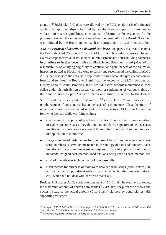grants of  $\bar{\tau}$  39.52 lakh<sup>37</sup>. Claims were allowed by the RLOs on the basis of estimates/ quotations/ approval slips submitted by beneficiaries in support of purchase in violation of Board's guidelines. Thus, actual utilisation of the assistance for the purpose for which the same were released was not ensured by the Board. No action was initiated by the Board against such non production of cash memos either.

**3.4.6.1.3 Payment of benefits on doubtful vouchers:** For speedy disposal of claims, the Board decided (October 2010) that ALCs in RLOs would disburse all benefit claims except accidental death, medical reimbursement and house building advances. In an effort to further decentralise at Block level, Board entrusted (May 2012) responsibility of verifying eligibility of applicant and genuineness of the claims on Inspectors posted at Blocks who were to certify and recommend the claims to ALCs. ALCs then disbursed the amount to applicants through account payee cheques drawn from fund remitted by Board to Administrative Accounts of RLOs. Besides, all Deputy Labour Commissioners (DLCs) would inspect records maintained in each office under his jurisdiction quarterly to monitor settlements of various claims of the beneficiaries as per Acts and Rules and submit a report to the Board.

Scrutiny of records revealed that in 1165<sup>38</sup> cases,  $\bar{\xi}$  23.57 lakh was paid as reimbursement of tools and cycles on the basis of cash memos/ bills authenticity of which could not be vouchsafed in audit. The Inspectors/ ALCs overlooked the following lacunae while verifying claims:

- Cash memos in support of purchase of cycles did not contain frame numbers of cycles. In some cases, they did not contain dates/ signature of seller. Dates mentioned in quotations were found three to four months subsequent to dates of application of claims etc.
- Large numbers of cash memos for purchase of tools from the same shops bore serial numbers *in seriatim*, mismatch in chronology of date and numbers, dates mentioned in cash memos were subsequent to date of application of claims, undated/ unsigned cash memos, road challans being used as cash memos, etc.
- Cost of utensils was included in tool purchase bills.
- Cash memos for purchase of tools were obtained from shops (mobile store, jute and fancy bag shop, fish-net sellers, marble dealer, building materials stores etc.) which did not deal with hardware materials.

Besides, in 92 cases ALCs made over payment of  $\bar{\tau}$  1.01 lakh by routinely allowing the maximum amount of benefit admissible  $(\bar{\tau})$  2.49 lakh) for purchase of tools and cycles instead of the actual amount ( $\bar{\tau}$  1.48 lakh) claimed by beneficiaries with supporting vouchers.

<sup>37</sup> *Baruipur: 19.50 lakh in 930 cases, Barrackpore: 13.23 lakh in 798 cases, Uluberia: 2.82 lakh in 194 cases, Alipore: 2.24 lakh in 112 cases & Kolkata: 1.73 lakh in 59 cases.*

<sup>38</sup> *Uluberia: 338, Barrackpore: 308, Alipore: 284 & Baruipur: 235 cases*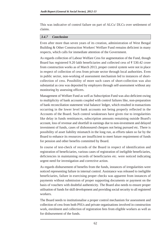This was indicative of control failure on part of ALCs/ DLCs over settlement of claims.

#### **3.4.7 Conclusion**

Even after more than seven years of its creation, administration of West Bengal Building & Other Construction Workers' Welfare Fund remains deficient in many respects, which calls for immediate attention of the Government.

As regards collection of Labour Welfare Cess for augmentation of the Fund, though Board has registered 9.20 lakh beneficiaries and collected cess of  $\overline{z}$  530.42 crore from construction works as of March 2013, proper control system were not in place in respect of collection of cess from private sector through local authorities. Even in public sector, non-working of assessment mechanism led to instances of shortcollection of cess. Possibility of more such cases of short-collection was also substantial as cess was deposited by employers through self-assessment without any monitoring by assessing officers.

Management of Welfare Fund as well as Subscription Fund was also deficient owing to multiplicity of bank accounts coupled with control failures like, non-preparation of bank reconciliation statement/ trial balance/ ledger, which resulted in transactions occurring in the lower level bank accounts not being properly reflected in the Accounts of the Board. Such control weaknesses have given rise to irregularities like delay in funds remittances, subscription amounts remaining outside Board's account, loss of revenue and shortfall in earnings due to non-investment and delayed investment of funds, cases of dishonoured cheques not being pursued etc. There is possibility of asset liability mismatch in the long run, as efforts taken so far by the Board to enhance its resources are insufficient to meet future requirement of funds for pension and other benefits committed by Board.

In course of test-check of records of the Board in respect of identification and registration of beneficiaries, various cases of registration of ineligible beneficiaries, deficiencies in maintaining records of beneficiaries etc. were noticed indicating urgent need for investigation and corrective action.

As regards disbursement of benefits from the funds, instances of irregularities were noticed representing failure in internal control. Assistance was released to ineligible beneficiaries, failure in exercising proper checks was apparent from instances of payments without submission of proper supporting documents or payment on the basis of vouchers with doubtful authenticity. The Board also needs to ensure proper utilisation of funds for skill development and providing social security to all registered workers.

The Board needs to institutionalise a proper control mechanism for assessment and collection of cess from both PSUs and private organisations involved in construction work, enrolment and collection of registration fees from eligible workers as well as for disbursement of the funds.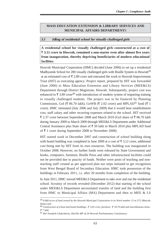## **MASS EDUCATION EXTENSION & LIBRARY SERVICES AND MUNICIPAL AFFAIRS DEPARTMENT**S

#### **3.5 Idling of residential school for visually challenged girls**

**A residential school for visually challenged girls constructed at a cost of 3.12 crore in Howrah, remained a non-starter even after almost five years from inauguration, thereby depriving beneficiaries of modern educational facilities.**

Howrah Municipal Corporation (HMC) decided (June 2006) to set up a residential Madhyamik School for 200 visually challenged girls with Braille System in Howrah<sup>39</sup> at an estimated cost of  $\bar{\tau}$  2.89 crore and entrusted the work to Howrah Improvement Trust (HIT) as executing agency. Project report, prepared by HIT was forwarded (June 2006) to Mass Education Extension and Library Services (MEE&LS) Department through District Magistrate, Howrah. Subsequently, project cost was enhanced to  $\bar{\tau}$  3.89 crore<sup>40</sup> with introduction of modern system of imparting training to visually challenged students. The project was to be financed by Planning Commission, GoI ( $\bar{\xi}$  86.70 lakh), GoWB ( $\bar{\xi}$  2.02 crore) and MPLAD<sup>41</sup> fund ( $\bar{\xi}$  1 crore). HMC intimated (July 2006 and July 2009) that it would bear establishment cost, staff salary and other recurring expenses related to the school. HIT received  $\bar{\xi}$  2.37 crore between September 2008 and March 2010 (GoI share of  $\bar{\xi}$  86.70 lakh during January 2009 to March 2009 through MEE&LS Department under Additional Central Assistance plus State share of  $\bar{\tau}$  50 lakh in March 2010 plus MPLAD fund of  $\bar{\tau}$  1 crore during September 2008 to November 2008).

HIT started work in December 2007 and construction of school building along with hostel building was completed in June 2009 at a cost of  $\bar{\tau}$  3.12 crore, additional cost being met by HIT from its own resources. The building was inaugurated in October 2008. However, no further funds were released by State Government and books, computers, furniture, Braille Press and other infrastructural facilities could not be provided due to paucity of funds. Neither were posts of teaching and nonteaching staff created as per approved plan nor steps initiated to get recognition from West Bengal Board of Secondary Education. HMC took possession of the buildings in February 2011, *i.e.* after 20 months from completion of the building.

In June 2011, HMC moved MEE&LS Department to take over and run the residential school. Scrutiny of records revealed (December 2012) that starting of the school under MEE&LS Department necessitated transfer of land and the building first from HMC to Municipal Affairs (MA) Department and then to MEE & LS

<sup>39</sup> *0.068 acres of land owned by the Howrah Municipal Corporation in its Ward number 15 at 37/2 Bhairab Dutta Lane*

<sup>40</sup> *Construction of school and hostel buildings: 3.63 crore, furniture: 18.79 lakh and miscellaneous items: 7 lakh*

<sup>41</sup> *Shri Swadesh Chakraborty, Hon'ble MP of 24-Howrah Parliamentary Constituency*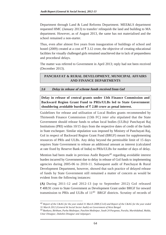Department through Land & Land Reforms Department. MEE&LS department requested HMC (January 2013) to transfer/ relinquish the land and building to MA department. However, as of August 2013, the same has not materialised and the school remained a non-starter.

Thus, even after almost five years from inauguration of buildings of school and hostel (2009) created at a cost of  $\bar{\tau}$  3.12 crore, the objective of creating educational facilities for visually challenged girls remained unachieved due to lack of preparedness and procedural delays.

The matter was referred to Government in April 2013; reply had not been received (December 2013).

## **PANCHAYAT & RURAL DEVELOPMENT, MUNICIPAL AFFAIRS AND FINANCE DEPARTMENTS**

#### **3.6 Delay in release of scheme funds received from GoI**

**Delay in release of central grants under 13th Finance Commission and Backward Region Grant Fund to PRIs/ULBs led to State Government** shouldering avoidable burden of  $\bar{\tau}$  2.80 crore as penal interest.

Guidelines for release and utilisation of Local Bodies grants recommended by Thirteenth Finance Commission (13th FC) *inter alia* stipulated that the State Government should release funds to urban local bodies (ULBs)/ Panchayati Raj Institutions (PRI) within 10/15 days from the respective dates of credit of the funds in State exchequer. Similar stipulation was imposed by Ministry of Panchayati Raj, GoI in respect of Backward Region Grant Fund (BRGF) meant for supplementing resources of PRIs and ULBs. Any delay beyond the permissible limit of 15 days requires State Government to release an additional amount as interest (calculated at rate fixed by Reserve Bank of India) to PRIs/ULBs for number of days of delay.

Mention had been made in previous Audit Reports<sup>42</sup> regarding avoidable interest burden incurred by Government due to delay in release of GoI funds to implementing agencies during 2005-06 to 2010-11. Subsequent audit of Panchayat & Rural Development Department, however, showed that such practice of delayed release of funds by State Government still remained a matter of concern as would be evident from the following instances:

**(A)** During 2011-12 and 2012-13 (up to September 2012) GoI released 408.91 crore to State Government as Development Grant under BRGF for onward transmission to PRIs and ULBs of  $11^{43}$  BRGF districts. Scrutiny of records of

<sup>42</sup> *Report of the C&AG for the year ended 31 March 2008 (Civil) and Report of the C&AG for the year ended 31 March 2012 (General & Social Sector Audit) on Government of West Bengal*

<sup>43</sup> *Bankura, Birbhum, Purba Medinipur, Paschim Medinipur, South 24 Parganas, Purulia, Murshidabad, Malda, Uttar Dinajpur, Dakshin Dinajpur and Jalpaiguri.*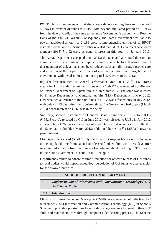P&RD Department revealed that there were delays ranging between three and 49 days in transfer of funds to PRIs/ULBs beyond stipulated period of 15 days from the date of credit of the same to the State Government's account with Reserve Bank of India (RBI), Nagpur. Consequently, the State Government was liable to pay an additional amount of  $\bar{\xi}$  1.92 crore to implementing entities of 11 BRGF districts as penal interest. Scrutiny further revealed that P&RD Department sanctioned (January 2013)  $\bar{\tau}$  1.92 crore as penal interest on this count in January 2013.

The P&RD Department accepted (June 2013) the facts and attributed the same to administrative constraints and compulsory unavoidable factors. It also intimated that quantum of delays has since been reduced substantially through proper care and attention of the Department. Lack of adequate attention had thus, burdened Government with penal interest amounting to  $\bar{\tau}$  1.92 crore in 2012-13.

**(B)** The first instalment of General Performance Grant 2011-12  $(\bar{\tau})$  11.60 crore) meant for ULBs under recommendations of the 13th FC was released by Ministry of Finance, Department of Expenditure, GoI in March 2012. The same was released by Finance Department to Municipal Affairs (MA) Department in May 2012. However, actual transfer of the said funds to ULBs was effected only in July 2012, with delay of 93 days after the stipulated time. The Government had to pay (March 2013) penal interest of  $\bar{\tau}$  26.60 lakh for delay.

Similarly, second instalment of General Basic Grant for 2011-12 for ULBs  $(\bar{\xi})$  96.18 crore), released by GoI in June 2012, was released to ULBs in July 2012 after a delay of 26 days after expiry of stipulated period of release. Resultantly, the State had to shoulder (March 2013) additional burden of  $\bar{\tau}$  61.66 lakh towards penal interest.

MA Department stated (April 2013) that it was not responsible for non adherence to the stipulated time frame, as it had released funds within two to five days after receiving information from the Finance Department about crediting of TFC grants in the State Government's account in RBI, Nagpur.

Department's failure to adhere to time stipulation for onward release of GoI funds to local bodies would impact expeditious percolation of GoI funds to user agencies for the avowed purposes.

#### **SCHOOL EDUCATION DEPARTMENT**

**3.7 Implementation of Information and Communication Technology (ICT) in Schools Project**

#### **3.7.1 Introduction**

Ministry of Human Resources Development (MHRD), Government of India launched (December 2004) Information and Communication Technology (ICT) in Schools Scheme to provide opportunities to secondary stage students to develop their ICT skills and make them learn through computer aided learning process. The Scheme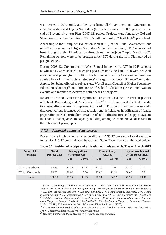was revised in July 2010, aim being to bring all Government and Government aided Secondary and Higher Secondary (HS) schools under the ICT project by the end of Eleventh five year Plan (2007-12) period. Projects were funded by GoI and State Government in the ratio of 75 : 25 with unit cost of  $\bar{\tau}$  6.70 lakh<sup>44</sup> per school.

According to the Computer Education Plan (CEP) of the State Government, out of 8275 Secondary and Higher Secondary Schools in the State, 1492 schools had been brought under IT education through earlier projects<sup>45</sup> upto March 2007. Remaining schools were to be brought under ICT during the 11th Plan period as per guidelines.

During 2008-13, Government of West Bengal implemented ICT in 1943 schools of which 543 were selected under first phase (March 2008) and 1400 were selected under second phase (June 2010). Schools were selected by Government based on availability of infrastructure, students' strength, Computer Science/Computer Application being offered as subjects etc. West Bengal Council of Higher Secondary Education (Council)46 and Directorate of School Education (Directorate) was to execute and monitor respectively both phases of projects.

Records of School Education Department, Directorate, Council, District Inspectors of Schools (Secondary) and 99 schools in five $47$  districts were test-checked in audit to assess effectiveness of implementation of ICT project. Examination in audit disclosed various instances of inadequacies and deficiencies in utilization of funds, preparation of ICT curriculum, creation of ICT infrastructure and support system in schools, inadequacies in capacity building among teachers etc. as discussed in the subsequent paragraphs.

#### **3.7.2 Financial outline of the projects**

Projects were implemented at an expenditure of  $\bar{\tau}$  95.37 crore out of total available funds of  $\bar{\tau}$  115.32 crore released by GoI and State Government as tabulated below:

| Name of the<br><b>Scheme</b> | <b>Total</b><br><b>Project Cost</b> | <b>Sharing pattern</b><br>of Project Cost |       |       | <b>Fund actually</b><br>released | <b>Expenditure booked</b><br>by the Department |             |
|------------------------------|-------------------------------------|-------------------------------------------|-------|-------|----------------------------------|------------------------------------------------|-------------|
|                              |                                     | GoI                                       | GoWB  | GoI   | GoWB                             | GoI                                            | <b>GoWB</b> |
|                              |                                     |                                           |       |       |                                  |                                                |             |
| ICT in 543 schools           | 36.38                               | 27.15                                     | 9.23  | 21.20 | 7.21                             | 21.20                                          | 7.21        |
| ICT in 1400 schools          | 93.80                               | 70.00                                     | 23.80 | 70.00 | 16.91                            | 50.05                                          | 16.91       |
| <b>Total</b>                 | 130.18                              | 97.15                                     | 33.03 | 91.20 | 24.12                            | 71.25                                          | 24.12       |

**Table 3.1: Position of receipt and utilisation of funds under ICT as of March 2013**

44 *Central share being 5 lakh and State Government's share being 1.70 lakh. The various components included procurement of computer and equipment:*  $\bar{\tau}$  4.05 *lakh, operating system & application Software: 0.20 lakh, educational Software: 0.45 lakh; furniture: 0.16 lakh; computer stationery: 0.50 lakh; teachers' training: 0.60 lakh; internet: 0.30 lakh; maintenance : 0.20 lakh and monitoring : 0.24 lakh* 45 *Till 2004, coverage of schools under Centrally Sponsored Programmes implemented earlier: 257 schools under Computer Literacy & Studies in Schools (CLASS); 500 schools under Computer Literacy and Training Project' (CLTP); 735 schools under School Computer Education Project' (SCEP)*

46 *Autonomous Council established under West Bengal Council of Higher Secondary Education Act, 1975 to deal with matters relating to Higher Secondary Education*

47 *Hooghly, Bardhaman, Purba Medinipur, North 24 Parganas and Nadia*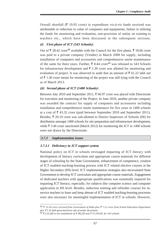Overall shortfall ( $\bar{\tau}$  19.95 crore) in expenditure *vis-à-vis* funds received was attributable to reduction in value of computers and equipments, failure in utilising the funds for monitoring and evaluation, non-provision of outlay on training to teachers etc., which have been discussed in the subsequent sections.

#### **(i) First phase of ICT (543 Schools):**

Out of ₹28.42 crore<sup>48</sup> available with the Council for the first phase, ₹18.66 crore was paid to a private company (Vendor) in March 2008 for supply, including installation of computers and accessories and comprehensive onsite maintenance of the same for three years. Further,  $\bar{\xi}$  8.44 crore<sup>49</sup> was released to 543 Schools for infrastructure development and  $\bar{\tau}$  1.30 crore was allotted for monitoring and evaluation of project. It was observed in audit that an amount of  $\bar{\xi}$  61.22 lakh out of  $\bar{\tau}$  1.30 crore meant for monitoring of the project was still lying with the Council as of March 2013.

#### **(ii) Second phase of ICT (1400 Schools):**

Between July 2010 and September 2011,  $\bar{\tau}$  66.97 crore was placed with Directorate for execution and monitoring of the Project. In June 2010, another private company was awarded the contract for supply of computers and accessories including installation and comprehensive onsite maintenance for five years in 1400 schools at a cost of  $\bar{\xi}$  43.32 crore (paid between September 2010 and September 2011). Besides,  $\bar{\tau}$  20.19 crore was sub-allotted to District Inspectors of Schools (DI) for distribution amongst 1400 schools for site preparation and infrastructure development, while  $\bar{\xi}$  3.46 crore sanctioned (March 2012) for monitoring the ICT in 1400 schools were not drawn by the Directorate.

#### **3.7.3 Implementation issues**

## **3.7.3.1 Deficiency in ICT support system**

National policy on ICT in schools envisaged imparting of ICT literacy with development of literacy curriculum and appropriate course materials for different stages of schooling by the State Government, enhancement of competence, creation of ICT enabled teaching-learning process with ICT related elective courses at the Higher Secondary (HS) level. ICT implementation strategies also necessitated State Government to develop ICT curriculum and appropriate course materials. Engagement of dedicated teachers with appropriate qualifications was essentially required for imparting ICT literacy, especially, for subjects like computer science and computer application in HS level. Besides, induction training and refresher courses for inservice teachers to learn and keep abreast of ICT enabled teaching-learning processes were also necessary for meaningful implementation of ICT in schools. However,

<sup>48</sup> *21.20 crore received from Government of India plus 7.21 crore from School Education Department plus*  $\bar{\tau}$ 1.16 lakh generated from sale of tender documents

<sup>&</sup>lt;sup>49</sup> ₹1,55,500 in two instalments of ₹88,250 and ₹67,250.00 for 543 schools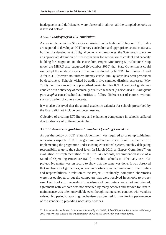inadequacies and deficiencies were observed in almost all the sampled schools as discussed below:

#### **3.7.3.1.1 Inadequacy in ICT curriculum**

As per implementation Strategies envisaged under National Policy on ICT, States are required to develop an ICT literacy curriculum and appropriate course materials. Further, for development of digital contents and resources, the State needs to ensure an appropriate definition of use/ mechanism for generation of content and capacity building for integration into the curriculum. Project Monitoring & Evaluation Group under the MHRD also suggested (November 2010) that State Government could use /adopt the model course curriculum developed by NCERT for classes IX and X for ICT. However, no uniform literacy curriculum/ syllabus has been prescribed by department. Schools, visited by audit in five sampled districts, expressed (May 2013) their ignorance of any prescribed curriculum for ICT. Absence of guidelines coupled with deficiency of technically qualified teachers (*as discussed in subsequent paragraphs*) caused school authorities to follow different set of courses without standardization of course contents.

It was also observed that the annual academic calendar for schools prescribed by the Board did not include computer lessons.

Objective of creating ICT literacy and enhancing competence in schools suffered due to absence of uniform curriculum.

#### **3.7.3.1.2 Absence of guidelines / Standard Operating Procedure**

As per the policy on ICT, State Government was required to draw up guidelines on various aspects of ICT programme and set up institutional mechanism for implementing the programme under existing educational system, suitably delegating responsibilities up to the school level. In March 2010, an Expert Committee<sup>50</sup>, on evaluation of implementation of ICT in 543 schools, recommended issue of a Standard Operating Procedure (SOP) to enable schools to effectively use ICT project. No matter was on record to show that the same was done. It was observed that in absence of guidelines, school authorities remained unaware of their duties and responsibilities in relation to the Project. Resultantly, computer laboratories were not equipped to put the computers that were received in schools to proper use. Log books for recording breakdown of computers were not maintained, agreement with vendors was not executed by many schools and service for repairmaintenance was often unavailable even though maintenance contract with vendors existed. No periodic reporting mechanism was devised for monitoring performance of the vendors in providing necessary services.

<sup>50</sup> *A three member technical Committee constituted by the GoWB, School Education Department in February 2010 to survey and evaluate the implementation of ICT in 543 schools for proper monitoring.*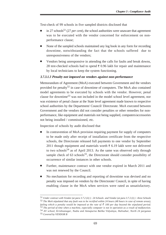Test-check of 99 schools in five sampled districts disclosed that

- in 27 schools<sup>51</sup> (27 *per cent*), the school authorities were unaware that agreement was to be executed with the vendor concerned for enforcement on nonperformance clause;
- None of the sampled schools maintained any log book in any form for recording downtime, notwithstanding the fact that the schools suffered due to unresponsiveness of the vendors;
- Vendors being unresponsive in attending the calls for faults and break downs, 28 test-checked schools had to spend  $\bar{\tau}$  0.96 lakh for repair and maintenance by local technicians to keep the system functioning.

#### **3.7.3.1.3 Penalty not imposed on vendors against non-performance**

Memorandum of Agreement (MoA) executed between Government and the vendors provided for penalty<sup>52</sup> in case of downtime of computers. The MoA also contained model agreements to be executed by schools with the vendor. However, penal clause for downtime53 was not included in the model school level agreement, nor was existence of penal clause at the State level agreement made known to respective school authorities by the Department/ Council/ Directorate. MoA executed between Government and the vendors did not consider penalties or other remedies for nonperformance, like equipment and materials not being supplied, computers/accessories not being installed / commissioned, etc.

Inspection of schools by audit disclosed that

- In contravention of MoA provision requiring payment for supply of computers to be made only after receipt of installation certificate from the respective schools, the Directorate released full payments to one vendor by September 2011 though equipment and materials worth  $\bar{\tau}$  6.19 lakh were not delivered to two schools<sup>54</sup> as of April 2013. As the same was observed only through sample check of  $63$  schools<sup>55</sup>, the Directorate should consider possibility of occurrence of similar instances in other schools.
- Further, maintenance contract with one vendor expired in March 2011 and was not renewed by the Council.
- No mechanism for recording and reporting of downtime was devised and no penalty was imposed on vendors by the Directorate/ Council, in spite of having enabling clause in the MoA when services were rated as unsatisfactory.

<sup>51</sup> *Under contract with Vendor (at para 3.7.2 (ii) ) : 24 Schools and Vendor (at para 3.7.2 (i) ) : three Schools* 52 *The MoA stipulated that any fault was to be rectified within 24 hours (48 hours in case of remote areas), failing which a penalty would be imposed at the rate of*  $\bar{\tau}$  100 per day beyond the stipulated period. 53 *The period of time when a machine, especially computer is not in operation as a result of malfunction.* 54 *AV school, Krishnanagar, Nadia and Annapurna Balika Vidyalaya, Halisahar, North 24 parganas* 55 *Covered by VENDOR B*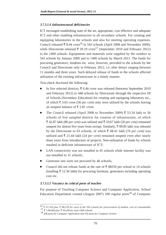## **3.7.3.1.4 Infrastructural deficiencies**

ICT envisaged establishing state of the art, appropriate, cost effective and adequate ICT and other enabling infrastructure in all secondary schools. For creating and equipping laboratories in the schools and also for meeting operating expenses, Council released  $\bar{\xi}$  8.44 crore<sup>56</sup> to 543 schools (April 2008 and November 2009), while Directorate released  $\bar{\tau}$  20.19 crore<sup>57</sup> (September 2010 and February 2012) to the 1400 schools. Equipments and materials were supplied by the vendors to 543 schools by January 2009 and to 1400 schools by March 2011. The funds for procuring generators, modems etc. were, however, provided to the schools by the Council and Directorate only in February 2012, i.e. after delays ranging between 11 months and three years. Such delayed release of funds to the schools affected utilisation of the existing infrastructure in a timely manner.

Test-check disclosed the following:

- In five selected districts,  $\bar{\xi}$  6.46 crore was released (between September 2010) and February 2012) to 448 schools by Directorate through the respective DI of Schools (Secondary Education) for creating and equipping laboratory etc., of which  $\bar{\tau}$  3.65 crore (56 *per cent*) only were utilized by the schools leaving an unspent balance of  $\bar{\tau}$  2.81 crore;
- The Council released (April 2008 to November 2009)  $\bar{\tau}$  53.54 lakh to 36 schools of five sampled districts for creation of infrastructure, of which  $\bar{\xi}$  42.87 lakh (80 *per cent*) was utilized and  $\bar{\xi}$  10.67 lakh (20 *per cent*) remained unspent for almost five years from receipt. Similarly,  $\bar{\tau}$  89.85 lakh was released by the Directorate to 63 schools, of which  $\bar{\tau}$  68.41 lakh (76 *per cent*) was utilized and  $\bar{\tau}$  21.44 lakh (24 *per cent*) remained unspent even after nearly three years from introduction of projects. Non-utilisation of funds by schools resulted in deficient infrastructure of ICT;
- LAN connectivity was not installed in 45 schools while internet facility was not installed in 31 schools;
- Generator sets were not procured by 46 schools;
- Council did not release funds at the rate of  $\bar{\xi}$  88250 per school to 14 schools (totalling  $\bar{\tau}$  12.36 lakh) for procuring furniture, generators including operating cost etc.

## **3.7.3.1.5 Vacancy in critical posts of teacher**

For purpose of Teaching Computer Science and Computer Application, School Education Department created (August 2007) 500 regular posts<sup>58</sup> of Computer

 $56$  ₹ 67,250 plus ₹ 88,250 for each of the 543 schools for procurement of modem, cost of consumables *57 1,00,000 plus 44,200 for each 1400 schools*

*<sup>58</sup> 308 posts for Computer Application and 192 posts for Computer Science*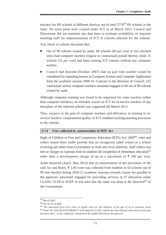teachers for HS schools of different districts out of total 377059 HS schools in the State. No more posts were created under ICT as of March 2013. Council and Directorate did not maintain any data base to evaluate availability of requisite teaching staff for implementation of ICT in schools selected for the scheme.

Test check of schools disclosed that:

- Out of 99 schools visited by audit, 68 schools (69 *per cent* of test checked ones) had computer teachers (regular or contractual) posted therein, while 31 schools (31 *per cent*) had been running ICT courses without any computer teacher;
- Council had directed (October 2007) that no part time teacher would be considered for imparting lessons in Computer Science and Computer Application from the academic session 2009-10. Contrary to the direction of Council, 122 contractual/ ad-hoc computer teachers remained engaged in 68 out of 99 schools visited by audit.

Although computer training was found to be organised for some teachers (other than computer teachers), no refresher course on ICT for in-service teachers of any discipline of the selected schools was organized till March 2013.

Thus, vacancy in the post of computer teachers and deficiency in training to inservice teachers compromised quality of ICT enabled teaching-learning processes in the schools.

## **3.7.4 Fees collected in contravention of RTE Act**

Right of Children to Free and Compulsory Education (RTE) Act, 2009<sup>60</sup>, rules and orders issued there under provide that no recognized aided school or a school receiving aid either from Government or from any local authority, shall collect any fees or charges or expenses from its students till completion of elementary education<sup>61</sup> other than a development charge of up to a maximum of  $\bar{\xi}$  240 per year.

Audit observed (April- May 2013) that in contravention of the provisions of the said Act and Rules,  $\bar{\xi}$  1.69 crore was collected from students in 63 schools out of 99 test-checked during 2010-12 academic sessions towards course fee payable to the agencies/ personnel engaged for providing services in IT education under CLASS, CLTP or SCEP. It was seen that the same was done at the directive<sup>62</sup> of the Government.

<sup>59</sup> *March 2007*

<sup>60</sup> *Act No 35 of 2009*

<sup>61</sup> *The education from first class to eighth class for the children of the age of six to fourteen years* 62 *Order No. 450 (20)-ES/O/P&B/ICT-3/10 dated 30-12-2011 which inter alia allowed collection of course fee not more than ` 35 per student per month from the student directly by the agencies*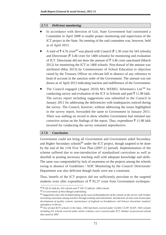#### **3.7.5 Deficient monitoring**

- In accordance with direction of GoI, State Government had constituted a Committee in April 2008 to enable proper monitoring and supervision of the ICT project in the State. No meeting of the said committee was, however, held as of April 2013.
- A total of  $\bar{\xi}$  4.76 crore<sup>63</sup> was placed with Council ( $\bar{\xi}$  1.30 crore for 543 schools) and Directorate ( $\bar{\xi}$  3.46 crore for 1400 schools) for monitoring and evaluation of ICT. Directorate did not draw the amount of  $\bar{\tau}$  3.46 crore sanctioned (March 2012) for monitoring the ICT in 1400 schools. Non-drawal of the amount was attributed (May 2013) by Commissioner of School Education to objection raised by the Treasury Officer on relevant bill in absence of any reference to head of account in the sanction order of the Government. The amount was not drawn as of April 2013 indicating inaction and indifference of the Government.
- The Council engaged (August 2010) M/s WEBEL Informatics Ltd.<sup>64</sup> for conducting survey and evaluation of the ICT in Schools and paid  $\bar{\tau}$  11.98 lakh. The survey report including suggestions was submitted to the Council in January 2011 for addressing the deficiencies with inadequacies noticed during the survey. The Council, however, without addressing the issues highlighted in the survey report, forwarded the same to Government in January 2011. There was nothing on record to show whether Government had initiated any corrective action on the findings of the report. Thus, expenditure  $\bar{\tau}$  11.98 lakh incurred for conducting the survey remained unproductive.

## **3.7.6 Conclusion**

Government could not bring all Government and Government aided Secondary and Higher Secondary schools<sup>66</sup> under the ICT project, though targeted to be done by the end of the 11th Five Year Plan (2007-12 period). Implementation of the scheme suffered due to non-introduction of standardized curriculum as well as shortfall in posting necessary teaching staff with adequate knowledge and skills. The same was compounded by lack of awareness on the projects among the schools owing to absence of Guidelines / SOP. Monitoring by the Council/ Directorate/ Department was also deficient though funds were not a constraint.

Thus, benefit of the ICT projects did not sufficiently percolate to the targeted students even after expenditure of  $\bar{\tau}$  95.37 crore from Government exchequer.

<sup>63</sup> *130.32 lakh for 543 schools and 345.72 lakh for 1400 schools*

<sup>64</sup> *A Government of West Bengal undertaking*

<sup>65</sup> *Suggestions inter alia included taking up the issue of dissatisfaction of the schools on the service with Vendor, increasing awareness among teachers through training and motivations, introduction of class-wise lesson plan, development of quality content, maintenance of logbook on breakdown/ call history/ downtime/ students' attendance in lab etc,*

<sup>66</sup> *Out of total 8275 schools in the State, 1492 had been covered under CLASS/ CLTP/ SCEP; 1943 schools including 251 schools covered under earlier schemes, were covered under ICT. Number of uncovered schools thus stood at 5091*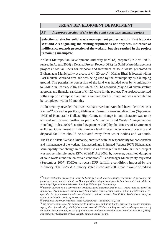## **URBAN DEVELOPMENT DEPARTMENT**

#### **3.8 Improper selection of site for the solid waste management project**

**Selection of site for solid waste management project within East Kolkata Wetland Area ignoring the existing stipulations not only was indicative of indifference towards protection of the wetland, but also resulted in the project remaining incomplete.**

Kolkata Metropolitan Development Authority (KMDA) prepared (in April 2002, revised in August 2004) a Detailed Project Report (DPR) for Solid Waste Management project at Mallar Bheri for disposal and treatment of solid waste generated in Bidhannagar Municipality at a cost of  $\bar{\tau}$  4.20 crore<sup>67</sup>. Mallar Bheri is located within East Kolkata Wetland area and was being used by the Municipality as a dumping ground. The permissive possession of the land was handed over by Municipality to KMDA in February 2004, after which KMDA accorded (May 2004) administrative approval and financial sanction of  $\bar{\tau}$  4.20 crore for the project. The project comprised setting up of a compost plant and a sanitary land fill plant and was scheduled to be completed within 30 months.

Audit scrutiny revealed that East Kolkata Wetland Area had been identified as a Ramsar<sup>68</sup> site and as per the guidelines of Ramsar Bureau and directions (September 1992) of Honourable Kolkata High Court, no change in land character was to be allowed in this area. Further, as per the Municipal Solid Waste (Management & Handling) Rules, 2000<sup>69</sup>, notified (September 2000) by the Ministry of Environment & Forest, Government of India, sanitary landfill sites under waste processing and disposal facilities should be situated away from water bodies and wetlands.

The East Kolkata Wetland Authority, entrusted with the responsibility for conservation and maintenance of the wetland, had accordingly intimated (August 2007) Bidhannagar Municipality that change in the land use as envisaged in the Mollar Bheri project was not permissible under EKW (C&M) Act 2006. It, however, permitted dumping of solid waste at the site on certain conditions<sup>70</sup>. Bidhannagar Municipality requested (September 2007) KMDA to recast DPR fulfilling conditions imposed by the Authority. The EKWM Authority stated (February 2009) that it would withdraw

*<sup>67 50</sup> per cent of the project cost was to be borne by KMDA under Megacity Programme, 25 per cent of the funds were to be made available by Municipal Affairs Department from Urban Renewal Fund, while the remaining 25 per cent was to be contributed by Bidhannagar Municipality.*

*<sup>68</sup> Ramsar Convention is a convention of wetlands signed at Ramsar, Iran in 1971, where India was one of the signatories. It's an intergovernmental treaty that provides framework for national action and international cooperation for the conservation wise use of wetlands and its resources. East Kolkata Wetland was one of the wetlands included in the list of Ramsar sites.*

*<sup>69</sup> Introduced under Government of India's Environment (Protection) Act, 1986*

*<sup>70</sup> No further expansion of the existing waste disposal site, confinement of the disposal site proper boundary, segregation of non-biodegradable/plastic wastes outside EKW area, taking care of the existing water area of the Mollarbheri, plantation, necessity of annual renewal of permission after inspection of the authority, garbage disposal as per Guidelines of West Bengal Pollution Control Board.*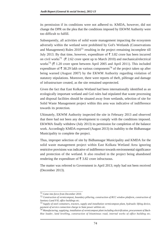its permission if its conditions were not adhered to. KMDA, however, did not change the DPR on the plea that the conditions imposed by EKWM Authority were too difficult to fulfill.

Subsequently, all activities of solid waste management impacting the ecosystem adversely within the wetland were prohibited by GoI's Wetlands (Conservations and Management) Rules  $2010<sup>71</sup>$  resulting in the project remaining incomplete till July 2013. By that time, however, expenditure of  $\bar{\tau}$  3.82 crore has been incurred on civil works<sup>72</sup> ( $\overline{\zeta}$  2.62 crore spent up to March 2010) and mechanical/electrical works<sup>73</sup> ( $\bar{\tau}$  1.20 crore spent between April 2005 and April 2011). This included expenditure of  $\bar{\tau}$  38.29 lakh on various components<sup>74</sup> of the project taken up after being warned (August 2007) by the EKWM Authority regarding violation of statutory stipulations. Moreover, there were reports of theft, pilferage and damage of infrastructure created, as the site remained unprotected.

Given the fact that East Kolkata Wetland had been internationally identified as an ecologically important wetland and GoI rules had stipulated that waste processing and disposal facilities should be situated away from wetlands, selection of site for Solid Waste Management project within this area was indicative of indifference towards its protection.

Ultimately, EKWM Authority inspected the site in February 2013 and observed that there had not been any development to comply with the conditions imposed. EKWMA finally withdrew (July 2013) its permission for completion of the balance work. Accordingly KMDA expressed (August 2013) its inability to the Bidhannagar Municipality to complete the project.

Thus, improper selection of site by Bidhannagar Municipality and KMDA for the solid waste management project within East Kolkata Wetland Area ignoring restrictive provisions was indicative of indifference towards environmental significance and protection of the wetland. It also resulted in the project being abandoned rendering the expenditure of  $\bar{\tau}$  3.82 crore infructuous.

The matter was referred to Government in April 2013; reply had not been received (December 2013).

*<sup>71</sup> Came into force from December 2010.*

*<sup>72</sup> Construction of vermicompost, boundary pillaring, construction of RCC window platform, construction of Sanitary Land Fill, office buildings etc.*

*<sup>73</sup> Supply of steel containers, tractors, supply and installation vermicompost plant, hydraulic lifting device, payment of service connection charge to State power utilities etc.*

*<sup>74</sup> Manufacturing, supplying, installation of vermicompost plant including electrification, procurement of Back-Hoe loader, land levelling, construction of bituminous road, internal works of office building etc.*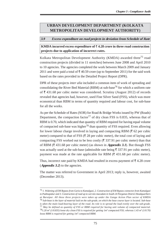## **URBAN DEVELOPMENT DEPARTMENT (KOLKATA METROPOLITAN DEVELOPMENT AUTHORITY)**

#### **3.9 Excess expenditure on road projects in deviation from Schedule of Rate**

**KMDA** incurred excess expenditure of  $\bar{\tau}$  4.28 crore in three road construction **projects due to application of incorrect rates.**

Kolkata Metropolitan Development Authority (KMDA) awarded three<sup>75</sup> road construction projects (divided in 11 stretches) between June 2008 and April 2010 to 10 agencies. The agencies completed the work between March 2009 and January 2011 and were paid a total of  $\bar{\tau}$  40.59 crore (up to September 2011) for the said work based on the rates provided in the Detailed Project Report (DPR).

DPR of these projects *inter alia* included a common item of work of spreading and consolidating the River Bed Material (RBM) at sub-base<sup>76</sup> for which a uniform rate of  $\bar{\xi}$  431.68 per cubic meter was considered. Scrutiny (August 2012) of records revealed that agencies had, however, used Fine Silver Sand (FSS), which was more economical than RBM in terms of quantity required and labour cost, for sub-base for all the works.

As per the Schedule of Rates (SOR) for Road & Bridge Works issued by PW (Roads) Department, the compaction factor<sup>77</sup> of dry clean FSS is 0.835, whereas that of RBM is 0.70, which indicated that quantity of RBM required for having equal volume of compacted sub-base was higher<sup>78</sup> than quantity of FSS required. Even allowing for lower labour charge involved in laying and compacting RBM ( $\bar{\tau}$  62 per cubic meter) compared to that of FSS ( $\overline{\xi}$  28 per cubic meter), the total cost of laying and compacting FSS worked out to be less costly  $(\overline{\tau})$  337.91 per cubic meter) than that of RBM ( $\bar{\tau}$  431.68 per cubic meter) (as shown in **Appendix 3.1**). But though FSS was actually used at the sub-base (admissible rate being  $\bar{\xi}$  337.91 per cubic meter), payment was made at the rate applicable for RBM ( $\overline{\xi}$  431.68 per cubic meter).

Thus, incorrect rate paid by KMDA had resulted in excess payment of  $\bar{\tau}$  4.28 crore (**Appendix 3.2**) to the agencies.

The matter was referred to Government in April 2013; reply is, however, awaited (December 2013).

<sup>75</sup> *1. Widening of EM Bypass from Garia to Kamalgazi, 2. Construction of EM Bypass connector from Kamalgazi to Padmapukur and 3. Construction of road up to wet mix macadam in South 24 Parganas District Headquarthers at Baruipur. All these three projects were taken up under the Ganga Action Plan sector of KMDA* 76 *Sub-base is the layer of material laid on the sub-grade, on which the base course layer is located. Sub-base is often the main load-bearing layer of the road. Its role is to spread the load evenly over the sub-grade.* 77 *May be defined as quantity of FSS or RBM required for having unit volume of compacted material.* 78*1.20 m3 (1/0.835) loose dry clean FSS is required for getting 1m3 compacted FSS; whereas 1.43 m3 (1/0.70) loose RBM is required for getting 1m3 compacted RBM.*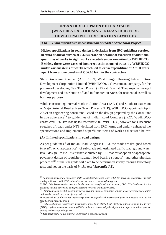## **URBAN DEVELOPMENT DEPARTMENT (WEST BENGAL HOUSING INFRASTRUCTURE DEVELOPMENT CORPORATION LIMITED)**

#### **3.10 Extra expenditure in construction of roads at New Town Project**

**Higher specifications in road design in deviation from IRC guidelines resulted** in extra financial burden of  $\bar{\tau}$  42.64 crore on account of execution of additional **quantities of works in eight works executed/ under execution by WBHIDCO. Besides, there were cases of incorrect estimations of rates by WBHIDCO under various items of works which led to extra expenditure of**  $\bar{\tau}$  **7.80 crore** apart from undue benefits of  $\bar{\tau}$  36.08 lakh to the contractors.

State Government set up (April 1999) West Bengal Housing Infrastructure Development Corporation Limited (WBHIDCO), a Government company, for the purpose of developing New Town Project (NTP) at Rajarhat. The project envisaged development and distribution of land in four Action Areas for residential as well as business purpose.

While constructing internal roads in Action Area-I (AA-I) and Southern extension of Major Arterial Road at New Town Project (NTP), WBHIDCO appointed (April 2002) an engineering consultant. Based on the design prepared by the Consultant in due adherence<sup>79</sup> to guidelines of Indian Road Congress (IRC), WBHIDCO constructed 19.63 km road up to December 2006. WBHIDCO, however, for subsequent stretches of roads under NTP deviated from IRC norms and unduly enhanced the specifications and implemented superfluous items of work as discussed below:

#### **(A) Inflated specifications in road design:**

As per guidelines<sup>80</sup> of Indian Road Congress (IRC), the roads are designed based *inter alia* on characteristics<sup>81</sup> of sub-grade soil, estimated traffic load, ground water level, design life etc. It is further stipulated by IRC that for adoption of appropriate pavement design of requisite strength, load bearing strength $82$  and other physical properties<sup>83</sup> of the sub grade soil<sup>84</sup> are to be determined strictly through laboratory tests and not on the basis of *in-situ* test (**Appendix 3.3**).

<sup>79</sup> *Following appropriate guidelines of IRC, consultant designed (June 2002) the pavement thickness of internal roads for 20 years with CBR value of three per cent on compacted sub-grade.*

<sup>80</sup> *IRC : 36 - Recommended practice for the construction of earth embankments, IRC : 37 - Guidelines for the design of flexible pavements and specifications for road and bridge works.*

<sup>81</sup> *Stability, incompressibility, permanency of strength, minimal changes in volume under adverse ground water and weather conditions, ease of compaction etc.*

<sup>82</sup> *Measured by California Bearing Ratio (CBR) - Most preferred international penetration test to indicate the load bearing capacity of soil.*

<sup>83</sup> *Soil classification, particle size distribution, liquid limit, plastic limit, plasticity index, maximum dry density (MDD), optimum moisture content (OMC), moisture content - dry density relationship i.e. standard proctor density and corresponding OMC.*

<sup>84</sup> **Sub grade** *is the native material underneath a constructed road.*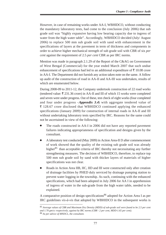However, in case of remaining works under AA-I, WBHIDCO, without conducting the mandatory laboratory tests, had come to the conclusion (July 2006) that sub grade soil was "highly expansive having low bearing capacity due to ingress of water from the high water table". Accordingly, WBHIDCO decided (July/ August 2006) to replace 500 mm sub grade soil with sand with enhancement in the specifications of layers at the pavement in term of thickness and components in order to achieve higher mechanical strength of sub grade soil with CBR of six *per cent* against the requirement of 2.5 *per cent* CBR as per IRC norms.

Mention was made in paragraph 2.1.29 of the Report of the C&AG on Government of West Bengal (Commercial) for the year ended March 2007 that such undue enhancement of specifications had led to an additional expenditure of  $\bar{\tau}$  10.08 crore in AA-I. The Department did not furnish any action taken note on the same. A follow up audit of the construction of road in AA-II and AA-III was undertaken, results of which are enumerated below.

During 2008-09 to 2011-12, the Company undertook construction of 22 road works (tendered value:  $\overline{\xi}$  231.36 crore) in AA-II and III of which 15 works were completed and seven were under progress. Out of these, test check of eight works (four completed and four under progress -**Appendix 3.4**) with aggregate tendered value of  $\bar{\tau}$  128.67 crore disclosed that WBHIDCO continued applying the enhanced specifications (January 2009) for construction of internal roads in AA-II and III without undertaking laboratory tests specified by IRC. Reasons for the same could not be ascertained in view of the following:

- The roads constructed in AA-I in 2006 did not have any reported pavement failures indicating appropriateness of specification and designs given by the consultant.
- A laboratory test conducted (May 2009) in Action Area-II D after commencement of work showed that the quality of the existing sub grade soil was already higher<sup>85</sup> than acceptable criteria of IRC thereby not necessitating any further strengthening measures. The decision of WBHIDCO, therefore, to replace top 500 mm sub grade soil by sand with thicker layers of materials of higher specifications was not clear.
- Roads in Action Area IIB, IIC, IID and III were constructed only after creation of drainage facilities by PHED duly serviced by drainage pumping station to prevent water logging in the township. As such, continuing with the enhanced specifications, which had been adopted in July 2006 for AA I in apprehension of ingress of water in the sub-grade from the high water table, needed to be explained.

A comparative position of design specifications<sup>86</sup> adopted for Action Area I as per IRC guidelines *vis-à-vis* that adopted by WBHIDCO in the subsequent works is

<sup>85</sup> *Average values of CBR and Maximum Dry Density (MDD) of sub-grade soil were found to be 2.5 per cent and 1.70 gm/cc respectively, against by IRC norms (CBR - 2 per cent, MDD-1.65 per cent).* 86 *As per advice of MNDCL, the consultant.*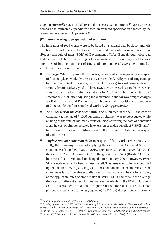given in **Appendix 3.5**. This had resulted in excess expenditure of  $\bar{\tau}$  42.64 crore as compared to estimated expenditure based on standard specification adopted by the consultant as shown in **Appendix 3.6**.

## **(B) Issues relating to preparation of estimates**

The item rates of road works were to be based on standard data book for analysis of rates<sup>87</sup> with reference to IRC specifications and materials/ carriage rates of PW (Roads) schedule of rates (SOR) of Government of West Bengal. Audit observed that estimates of items like carriage of stone materials from railway yard to work site, rates of bitumen and cost of fine sand/ stone materials were determined at inflated rates as discussed under:

- *Carriage:*While preparing the estimates, the rates of stone aggregates in respect of four completed works (Works I to IV) were calculated by considering carriage by road from Dankuni railway yard (26 kms away) to work sites instead of from Belgharia railway yard (18 kms away) which was closer to the work site. This had resulted in higher cost at site by  $\bar{\tau}$  50 per cubic metre (January/ December 2009), after adjusting the difference in the railway freight charges for Belgharia yard and Dankuni yard. This resulted in additional expenditure of 58.58 lakh on four completed works (*vide* **Appendix 3.7**).
- **Non-recovery of the cost of container:** As stipulated in the SOR, the cost of container (at the rate of  $\bar{\tau}$  1000 per tonne of bitumen) was to be deducted while arriving at the rate of bitumen emulsion. Non adjusting the cost of container from the cost of bitumen resulted in extension of undue benefit of  $\overline{5}$  36.08 lakh<sup>88</sup> to the contractors against utilisation of 3608.21 tonnes of bitumen in respect of eight works.
- **Higher rate on stone materials:** In respect of four works (work nos. V to VIII), the Company instead of applying the rates of PWD (Roads) SOR for stone materials applied (August 2010, November 2010 and November 2011) the rates of PWD (Building) SOR on the ground that PWD (Roads) SOR had become old as it remained unchanged since January 2009. However, PWD SOR is updated as and when such need is felt. This issue was further compounded by the fact that PWD (Building) SOR does not contain the extant rates for the stone materials of the size actually used in road work and hence for arriving at the applicable rates of stone material, WBHIDCO had to take the average the rates of different sizes of stone material available in the PWD (Building) SOR. This resulted in fixation of higher rates of stone dust  $(\bar{\tau})$  171 to  $\bar{\tau}$  285 per cubic metre) and stone aggregates ( $\bar{\xi}$  137<sup>89</sup> to  $\bar{\xi}$  402 per cubic metre) as

<sup>87</sup> *Published by Ministry of Road Transport and Highways.*

<sup>88</sup> *Priming of base course: 55699.401 m2 at the rate of 0.6 kg per m2 = 33419.64 kg; Bituminous Macadam: 549581.116 m2 at the rate of 3.62 kg per m2 = 1989483.64 kg and Semi Dense Bituminous Concrete: 550454.621 m2 at the rate of 2.88 kg per m2. Total consumption of Bitumen: 3608212.59 kg i.e. 3608.21 tonnes.* <sup>89</sup> In case of 37.5mm stone chips used in work No VIII, there was a difference of only  $\bar{\mathcal{F}}$  2 per m<sup>3</sup>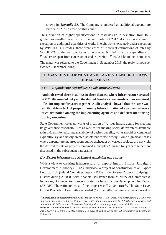shown in **Appendix 3.8**. The Company shouldered an additional expenditure burden of  $\bar{\tau}$  7.22 crore on this count.

Thus, fixation of higher specifications in road design in deviation from IRC guidelines resulted in an extra financial burden of  $\bar{\tau}$  42.64 crore on account of execution of additional quantities of works in eight works executed/ under execution by WBHIDCO. Besides, there were cases of incorrect estimations of rates by WBHIDCO under various items of works which led to extra expenditure of  $\bar{\xi}$  7.80 crore apart from extension of undue benefit of  $\bar{\xi}$  36.08 lakh to the contractors.

The mater was referred to the Government in September 2013; the reply is, however awaited (December 2013).

## **URBAN DEVELOPMENT AND LAND & LAND REFORMS DEPARTMENTS**

#### **3.11 Unproductive expenditure on idle infrastructures**

**Audit observed three instances in three districts where infrastructure created at 21.50 crore did not yield the desired benefit as new constructions remained idle / incomplete for years together. Audit analysis showed that the same was attributable to lack of proper planning before initiation of a project, absence of co-ordination among the implementing agencies and deficient monitoring during execution.**

State Government takes up works of creation of various infrastructure for meeting its governance responsibilities as well as for making social deliverables available to its citizens. For ensuring availability of desired benefits, works should be completed expeditiously and newly created assets put to use timely. Some significant cases where expenditure incurred from public exchequer on various projects did not yield the desired results as projects remained incomplete/ unused for years together, are discussed in the subsequent paragraphs.

#### **(A) Export infrastructure at Siliguri remaining non-starter**

With a view to creating infrastructure for export/ import, Siliguri Jalpaiguri Development Authority (SJDA) undertook a project of construction of an Export Logistic Hub (Inland Container Depot - ICD) in the *Mouza* Dabgram, Jalpaiguri District during 2008-09 with financial assistance from Ministry of Commerce & Industries, GoI under Assistance to States for Infrastructure Development for Export (ASIDE). The estimated cost of the project was  $\bar{\tau}$  24.84 crore<sup>90</sup>. The State Level Export Promotion Committee accorded (October 2008) administrative approval of

<sup>90</sup> **Components of expenditures:** *land and land development: 5.37 crore, civil construction: 3.12 crore;* approach road and paved area:  $\bar{\tau}$  3.52 crore, material handling equipments:  $\bar{\tau}$  9.78 crore, electrical and *automation:*  $\bar{\xi}$  2.47 crore and Government fees/ deposits/ consultancy, supervision:  $\bar{\xi}$  0.58 crore.

**Projected sources of funds:** *20 crore was to be contributed by the GoI under ASIDE scheme while SJDA was to bear 4.19 crore towards arranging 24.5 acres of land on lease from Railway authority and contribute 0.65 crore*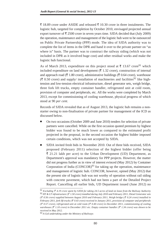₹ 18.89 crore under ASIDE and released ₹ 10.30 crore in three instalments. The logistic hub, targeted for completion by October 2010, envisaged projected annual export turnover of  $\bar{\tau}$  2500 crore in seven years time. SJDA decided that (July 2009) the operation, maintenance and management of the logistic hub were to be outsourced on Public Private Partnership (PPP) mode. The idea of SJDA authority was to complete the list of items in the DPR and hand it over to the private partner on "as where is" basis. The partner was to construct the railway siding (which was not included in DPR as it involved huge cost) and other residual works and make the logistic hub functional.

As of March 2013, expenditure on this project stood at  $\bar{\tau}$  13.67 crore<sup>91</sup> which included expenditure on land development ( $\bar{\tau}$  1.32 crore), construction of internal and approach road ( $\bar{\tau}$  1.80 crore), administrative buildings ( $\bar{\tau}$  0.64 crore), warehouse ( $\bar{\tau}$  0.50 crore) and supply/ installation of machineries and facilities<sup>92</sup> like hightension and low-tension electrical infrastructure, diesel generator sets, weigh bridge, three fork lift trucks, empty container handler, refrigerated unit at cold room, provision of computer and peripherals, etc. All the works were completed by March 2013, except for commissioning of cooling warehouse, physical progress of which stood at 90 *per cent*.

Records of SJDA revealed that as of August 2013, the logistic hub remains a nonstarter owing to non-finalisation of private partner for management of the ICD as discussed below.

- On two occasions (October 2009 and June 2010) tenders for selection of private partners were cancelled. While on the first occasion quoted premium by highest bidder was found to be much lower as compared to the estimated profit projected in the proposal, in the second occasion the highest bidder imposed certain conditions, which was not accepted by SJDA.
- SJDA invited fresh bids in November 2010. Out of three bids received, SJDA proposed (February 2011) selection of the highest bidder (offer being  $\bar{\xi}$  21.21 lakh per acre) to the Urban Development (UD) Department, as Department's approval was mandatory for PPP projects. However, the matter did not progress further as in view of interest evinced (May 2012) by Container Corporation of India  $(CONCOR)<sup>93</sup>$  for taking up the operation, maintenance and management of logistic hub. CONCOR, however, opined (May 2012) that the present site of logistic hub was not worthy of operation without rail siding with concrete pavement, which had not been a part of the Detailed Project Report. Cancelling all earlier bids, UD Department issued (June 2012) no

<sup>91</sup> *Excluding 4.19 crore spent by SJDA for taking 24.5 acres of land on lease from the Railway Authority* 92 *HT & LT infrastructure ( 1.50 crore) installed during July 2010 and February 2011, Diesel Generator sets ( 0.56 crore) supplied between August 2010 and February 2011, Weigh bridge ( 0.24 crore) installed in February 2011, fork lift trucks ( 0.43 crore) received in January 2011, provision of computer and peripherals*  $($   $\bar{\zeta}$  0.57 crore), refrigerated unit at cold room ( $\bar{\zeta}$  0.40 crore) in December 2011, commissioning of cooling *warehouse* ( $\bar{\tau}$  1.10 crore) in December 2011 etc. Empty container handler ( $\bar{\tau}$  1.34 crore) was shown to be *received in May 2012.*

<sup>93</sup> *A GoI undertaking under the Ministry of Railways*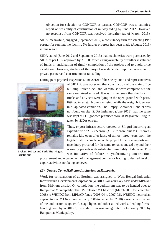objection for selection of CONCOR as partner. CONCOR was to submit a report on feasibility of construction of railway siding by June 2012. However, no response from CONCOR was received thereafter (as of March 2013).

SJDA, meanwhile, engaged (September 2012) a consultancy firm for selecting PPP partner for running the facility. No further progress has been made (August 2013) in this regard.

SJDA stated (June 2012 and September 2013) that machineries were purchased by SJDA as per DPR approved by ASIDE for ensuring availability of further instalment of funds in anticipation of timely completion of the project and to avoid price escalation. However, starting of the project was dependent upon engagement of private partner and construction of rail siding.

During joint physical inspection (June 2012) of the site by audit and representatives



**Brokem DG set and Fork lifts lying at logistic hub**

of SJDA it was observed that construction of the main office building, toilet block and warehouse were complete but the same remained unused. It was further seen that the fork lift trucks and DG sets were lying in the open ground with parts/ fittings/ tyres etc. broken/ missing, while the weigh bridge was in dilapidated condition. The Empty Container Handler was not found on site; SJDA intimated (June 2012) that the same was kept at FCI godown premises store at Bagrakote, Siliguri taken by SJDA on rent.

Thus, export infrastructure created at Siliguri incurring an expenditure of  $\bar{\tau}$  17.85 crore ( $\bar{\tau}$  13.67 crore plus  $\bar{\tau}$  4.19 crore) remains idle even after lapse of almost three years from the targeted date of completion of the project. Expensive sophisticated machinery procured for the same remains unused beyond their warranty periods with substantial possibility of damage. This was indicative of failure in synchronizing construction,

procurement and engagement of management contractor leading to desired level of export activities not being achieved.

## **(B) Unused Town Hall cum Auditorium at Rampurhat**

Work for construction of auditorium was assigned to West Bengal Industrial Infrastructure Development Corporation (WBIIDC) on a turnkey basis under MPLAD from Birbhum district. On completion, the auditorium was to be handed over to Rampurhat Municipality. The DM released  $\bar{\tau}$  1.61 crore (March 2005 to September 2008) to WBIIDC from MPLAD funds (2003-04 to 2007-08). WBIIDC incurred an expenditure of  $\bar{\tau}$  1.62 crore (February 2006 to September 2010) towards construction of the auditorium, stage craft, stage lights and other allied works. Pending formal handing over by WBIIDC, the auditorium was inaugurated in February 2009 by Rampurhat Municipality.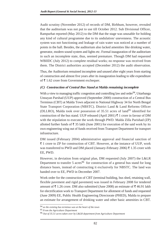Audit scrutiny (November 2012) of records of DM, Birbhum, however, revealed that the auditorium was not put to use till October 2012. Sub Divisional Officer, Rampurhat reported (May 2012) to the DM that the stage was unusable for holding any kind of cultural programme due to its undulation/ unevenness. The acoustic system was not functioning and leakage of rain water was noticed at a number of points in the hall. Besides, the auditorium also lacked amenities like drinking water, generator, modern sound system and lights etc. Formal inauguration of the auditorium in such an incomplete state, thus, seemed premature. Though DM had requested WBIIDC (July 2012) to complete residual works; no response was received from them. The District authorities accepted (December 2012) the audit observation.

Thus, the Auditorium remained incomplete and unused after eight years from starting of construction and almost five years after its inauguration leading to idle expenditure of  $\bar{\tau}$  1.62 crore from Government exchequer.

## **(C) Construction of Central Bus Stand at Malda remaining incomplete**

With a view to managing traffic congestion and controlling law and order<sup>94</sup>, Uttarbanga Unnayan Parshad (UUP) approved (September 2000) construction of a Central Bus Terminus (CBT) at Malda Town adjacent to National Highway 34 for North Bengal State Transport Corporation (NBSTC). District Land & Land Reforms Officer (DLLRO), Malda took over possession of  $35.51$  acres of land<sup>95</sup> identified for construction of the bus stand. UUP released (April 2001)  $\bar{\tau}$  1 crore in favour of DM with the stipulation to execute the work through PWD. Malda Zilla Parishad (ZP) allotted further funds of  $\bar{\tau}$  35 lakh (June 2001) for execution of the said work by its own engineering wing out of funds received from Transport Department for transport infrastructure.

DM issued (February 2004) administrative approval and financial sanction of  $\overline{\xi}$  1 crore to ZP for construction of CBT. However, at the instance of UUP, work was transferred to PWD and DM placed (January-February 2006)  $\bar{\tau}$  1.35 crore with EE, PWD.

However, in deviation from original plan, DM requested (July 2007) the L&LR Department to transfer 5 acres<sup>96</sup> for construction of a general bus stand for long distance buses, instead of constructing it exclusively for NBSTC. The land was handed over to EE, PWD in December 2007.

Work order for the construction of CBT (terminal building, bus shed, retaining wall, flexible pavement and rigid pavement) was issued in February 2008 for tendered amount of  $\bar{\xi}$  1.26 crore. DM also submitted (June 2008) an estimate of  $\bar{\xi}$  46.91 lakh for electrification work to Transport Department for allotment of funds and requested (June 2009) EE, Public Health Engineering Directorate (PHED), Malda to prepare an estimate for arrangement of drinking water and other basic amenities in CBT.

<sup>94</sup> *as the existing bus terminus was at the heart of the town*

<sup>95</sup> *From the Agriculture Department*

<sup>96</sup> *Out of 35.51 acres taken over by L&LR department from Agriculture Department*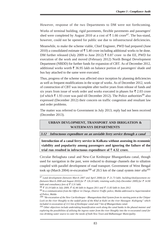However, response of the two Departments to DM were not forthcoming.

Works of terminal building, rigid pavements, flexible pavements and passengers' shed were completed by August 2010 at a cost of  $\bar{\tau}$  1.66 crore<sup>97</sup>. The bus-stand, however, could not be opened for public use due to infrastructural deficiencies.

Meanwhile, to make the scheme viable, Chief Engineer, PWD had prepared (June 2010) a consolidated estimate of  $\bar{\tau}$  5.40 crore including additional works to be done. DM further released (July 2009 to June 2012)  $\bar{\tau}$  0.87 crore to the EE, PWD for execution of the work and moved (February 2012) North Bengal Development Department (NBDD) for further funds for expansion of CBT. As of December 2012, additional works worth  $\bar{\xi}$  36.95 lakh on balance portion of passengers' shade and bus bay attached to the same were executed.

Thus, progress of the scheme was affected since inception by planning deficiencies as well as frequent modifications in the scope of works. As of December 2012, work of construction of CBT was incomplete after twelve years from release of funds and six years from issue of work order and works executed in phases for  $\bar{\tau}$  2.03 crore (of which  $\bar{\tau}$  1.93 crore was paid till December 2012). The Police authorities<sup>99</sup> also expressed (December 2012) their concern on traffic congestion and resultant law and order problems.

The matter was referred to Government in July 2013; reply had not been received (December 2013).

## **URBAN DEVLOPMENT, TRANSPORT AND IRRIGATION & WATERWAYS DEPARTMENTS**

#### **3.12 Infructuous expenditure on an unviable ferry service through a canal**

**Introduction of a canal ferry service in Kolkata without assessing its economic viability and popularity among passengers and ignoring the failure of the** trial run resulted in infructuous expenditure of  $\bar{\tau}$  4.32 crore.

Circular Beliaghata canal and New-Cut Keshtopur Bhangarekata canal, though used for navigation in the past, were reduced to drainage channels due to siltation coupled with parallel development of road transport. Government of West Bengal took up (March 2004) re-excavation<sup>100</sup> of 20.5 km of the canal system *inter alia*<sup>101</sup>

*<sup>97</sup> Land development (between March 2007 and April 2008) for 21.73 lakh; building/shed/pavement etc (between March 2008 and August 2010) for*  $\bar{\tau}$  *126.24 lakh; retaining walls (July-December 2009) for*  $\bar{\tau}$  *14.90 lakh and consultancy fees of 3.31 lakh.*

<sup>&</sup>lt;sup>98</sup> ₹ 33.19 lakh in July 2009, ₹ 42.46 lakh in August 2011 and ₹ 11.83 lakh in June 2012

*<sup>99</sup> In a communication from the Officer in Charge, District Traffic police, Malda addressed to Superintendent of Police, Malda*

*<sup>100 &</sup>quot;Re-excavation of the New Cut-Keshtopur - Bhangarekata khal System from its starting point at the Chitpur Lock on the river Hooghly to the outfall point of the Khal at Kulti on the river Hawagon -Kultigong" which included re-excavation of 13.5 km of Keshtopur canal and 7 km of Bhangarekata canal.*

*<sup>101</sup> Other objectives include undertaking beautification work along the canal banks in the phased manner and exploring the possibilities of utilising the ingress water from the river Hooghly into the re-excavated canal for raw drinking water source to cater the needs of both New Town and Bidhannagar Municipality.*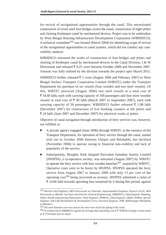for revival of navigational opportunities through the canal. This necessitated construction of seven steel foot bridges across the canal, construction of eight jetties and clearing Keshtopur canal by mechanized devices. Project was to be undertaken by West Bengal Housing Infrastructure Development Corporation (WBHIDCO). A technical committee<sup>102</sup> was formed (March 2004) for identifying scope of revival of the navigational opportunities in canal systems, which did not conduct any costviability analysis.

WBHIDCO entrusted the works of construction of foot bridges and jetties and clearing of Keshtopur canal by mechanized devices to the Canal Division, I & W Directorate and released  $\bar{\tau}$  6.25 crore between October 2006 and November 2007. Amount was fully utilised by the division towards the project upto March 2012.

WBHIDCO further released  $\bar{\tau}$  1 crore (August 2006 and February 2007) to West Bengal Surface Transport Corporation Limited (WBSTC) under the Transport Department for purchase of six vessels (four wooden and two steel vessels). Of this, WBSTC procured (August 2006) two steel vessels at a total cost of 54.40 lakh, each with carrying capacity of 100 passengers and four more wooden vessels at total cost of  $\overline{\xi}$  49 lakh (March 2007 to September 2007), each with carrying capacity of 50 passengers. WBHIDCO further released  $\bar{\tau}$  1.98 lakh (December 2007) for construction of five booking counters at the jetties and 24 lakh (June 2007 and December 2007) for electrical works at jetties.

Objective of canal navigation through introduction of ferry services was, however, not fulfilled as

- A private agency engaged (June 2006) through WBSTC at the instance of the Transport Department, for operation of ferry service through the canal, started trial run in October 2006 between Chitpur and Baishakhi, but declined (November 2006) to operate owing to financial non-viability and lack of popularity of the service.
- Subsequently, Hooghly Nadi Jalapath Parivahan Samabay Samity Limited (HNJPSS), a co-operative society, was entrusted (August 2007) by WBSTC to operate the ferry service with four wooden launches<sup>103</sup> acquired by WBSTC. Operative costs were to be borne by HNJPSS. HNJPSS operated the ferry service from August 2007 to January 2009 with only 13 *per cent* of the operating  $cost^{104}$  being recovered as revenue. HNJPSS submitted a claim of  $\bar{\tau}$  14.60 lakh towards operating loss sustained by it during this period, against

<sup>102</sup> *Retired Chief Engineer, I&W Directorate as Chairman, Superintendent Engineer, Eastern Circle, I&W Directorate as Member Secretary and Director General (Engineering), WBHIDCO, Chief Engineer Planning, Public Health Engineering Department, Chief Engineer, KMWSA, Chief Engineer (S&D), KMDA, Special Engineer, Salt Lake Reclamation & Development Circle, Executive Engineer, PHE, Bidhannagar Munipality as Members.*

<sup>103</sup> *The steel launches were not used as the same were not fit for plying in the canal.*

<sup>104</sup> *As worked out by WBHIDCO, against the average daily operating cost of 5598.00, average revenue stood at 754.00 (for first 61 days).*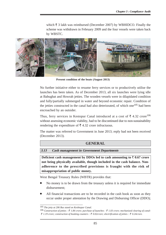which  $\bar{\tau}$  3 lakh was reimbursed (December 2007) by WBHIDCO. Finally the scheme was withdrawn in February 2009 and the four vessels were taken back by WBSTC.



**Present condition of the boats (August 2013)**

No further initiative either to resume ferry services or to productively utilise the launches has been taken. As of December 2013, all six launches were lying idle at Babughat and Howrah jetties. The wooden vessels were in dilapidated condition and fully/partially submerged in water and beyond economic repair. Condition of the jetties constructed in the canal had also deteriorated, of which one<sup>105</sup> had been encroached by an outsider.

Thus, ferry services in Kestopur Canal introduced at a cost of  $\bar{\tau}$  4.32 crore<sup>106</sup> without assessing economic viability, had to be discontinued due to non-sustainability rendering the expenditure of  $\bar{\tau}$  4.32 crore infructuous.

The matter was referred to Government in June 2013; reply had not been received (December 2013).

#### **GENERAL**

#### **3.13 Cash management in Government Departments**

**Deficient cash management by DDOs led to cash amounting to**  $\bar{\tau}$  **0.67 crore not being physically available, though included in the cash balance. Nonadherence to the prescribed provisions is fraught with the risk of misappropriation of public money.**

West Bengal Treasury Rules (WBTR) provides that:

- No money is to be drawn from the treasury unless it is required for immediate disbursement;
- All financial transactions are to be recorded in the cash book as soon as they occur under proper attestation by the Drawing and Disbursing Officer (DDO);

<sup>105</sup> *The jetty at 206 Bus stand on Keshtopur Canal.*

<sup>&</sup>lt;sup>106</sup> Construction of jetties :  $\bar{\tau}$  1.84 crore; purchase of launches :  $\bar{\tau}$  1.03 crore; mechanized clearing of canal- *1.19 crore; construction of booking counters : 0.02crore; electrification of jetties : 0.24crore.*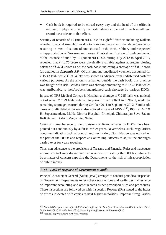Cash book is required to be closed every day and the head of the office is required to physically verify the cash balance at the end of each month and record a certificate to that effect.

Scrutiny of records of 19 (nineteen) DDOs in eight $107$  districts including Kolkata revealed financial irregularities due to non-compliance with the above provisions resulting in mis-utilisation of undisbursed cash, theft, robbery and suspected misappropriation of Government money. Physical verification of cash conducted at the instance of audit by 19 (Nineteen) DDOs during July 2012 to April 2013, revealed that  $\bar{\tau}$  46.75 crore were physically available against aggregate closing balance of  $\bar{\tau}$  47.43 crore as per the cash books indicating a shortage of  $\bar{\tau}$  0.67 crore (as detailed in **Appendix 3.9**). Of this amount, unadjusted vouchers accounted for  $\bar{\xi}$  15.43 lakh, while  $\bar{\xi}$  19.54 lakh was shown as advance from undisbursed cash for various purposes. As the amounts remained outside the cash book, this practice was fraught with risk. Besides, there was shortage amounting to  $\bar{\tau}$  32.28 lakh which was attributable to theft/robbery/unexplained cash shortage by various DDOs.

In case of NRS Medical College & Hospital, a shortage of  $\bar{\tau}$  2.59 lakh was noticed, out of which  $\bar{\xi}$  1.79 lakh pertained to period from 1980-81 to 1990-91, while the remaining shortage occurred during October 2011 to September 2012. Similar old cases of theft/ defalcation were also noticed in case of MSVP108, RG Kar MC & H; Superintendent, Malda District Hospital; Principal, Chittaranjan Seva Sadan, Kolkata and District Magistrate, Nadia.

Cases of non-adherence to the provisions of financial rules by DDOs have been pointed out continuously by audit in earlier years. Nevertheless, such irregularities continue indicating lack of control and monitoring. No initiative was noticed on the part of the DDOs and respective Controlling Officers to adjust the shortages carried over for years together.

Thus, non-adherence to the provisions of Treasury and Financial Rules and inadequate internal control over drawal and disbursement of cash by the DDOs continue to be a matter of concern exposing the Departments to the risk of misappropriation of public money.

## **3.14 Lack of response of Government to audit**

Principal Accountant General (Audit) (PAG) arranges to conduct periodical inspection of Government Departments to test-check transactions and verify the maintenance of important accounting and other records as per prescribed rules and procedures. These inspections are followed up with Inspection Reports (IRs) issued to the heads of offices inspected with copies to next higher authorities. Important irregularities

<sup>107</sup> *North 24 Paraganas (two offices), Kolkata (11 offices), Birbhum (one office), Dakshin Dinajpur (one office), Malda(one office), Purulia (one office), Howrah (one office) and Nadia (one office).* 108 *Medical Superintendent cum Vice Principal*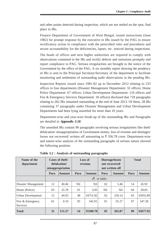and other points detected during inspection, which are not settled on the spot, find place in IRs.

Finance Department of Government of West Bengal, issued instructions (June 1982) for prompt response by the executive to IRs issued by the PAG to ensure rectificatory action in compliance with the prescribed rules and procedures and secure accountability for the deficiencies, lapses, etc. noticed during inspections.

The heads of offices and next higher authorities are required to comply with observations contained in the IRs and rectify defects and omissions promptly and report compliance to PAG. Serious irregularities are brought to the notice of the Government by the office of the PAG. A six monthly report showing the pendency of IRs is sent to the Principal Secretary/Secretary of the department to facilitate monitoring and settlement of outstanding audit observations in the pending IRs.

Inspection Reports issued since 1981-82 up to December 2012 relating to 233 offices in four departments (Disaster Management Department: 32 offices; Home Police Department: 67 offices; Urban Development Department: 116 offices and Fire & Emergency Services Department: 18 offices) disclosed that 718 paragraphs relating to 262 IRs remained outstanding at the end of June 2013. Of these, 28 IRs containing 37 paragraphs under Disaster Management and Urban Development Departments had been lying unsettled for more than 10 years.

Department-wise and year-wise break-up of the outstanding IRs and Paragraphs are detailed in **Appendix 3.10**.

The unsettled IRs contain 90 paragraphs involving serious irregularities like theft/ defalcation/ misappropriation of Government money, loss of revenue and shortages/ losses not recovered/ written off amounting to  $\bar{\tau}$  356.78 crore. Department-wise and nature-wise analysis of the outstanding paragraphs of serious nature showed the following position:

| Name of the<br>department    | Cases of theft/<br>defalcation/<br>misappropriation |        | Loss of<br>revenue |               | <b>Shortage/losses</b><br>not recovered/<br>not written off |               | <b>Total</b> |               |  |  |  |
|------------------------------|-----------------------------------------------------|--------|--------------------|---------------|-------------------------------------------------------------|---------------|--------------|---------------|--|--|--|
|                              | Para                                                | Amount | Para               | <b>Amount</b> | Para                                                        | <b>Amount</b> | Para         | <b>Amount</b> |  |  |  |
|                              | (₹<br><i>in lakh</i> )                              |        |                    |               |                                                             |               |              |               |  |  |  |
| Disaster Management          | 12                                                  | 40.46  | <b>Nil</b>         | Nil           | 02                                                          | 5.46          | 14           | 45.92         |  |  |  |
| Home (Police)                | 03                                                  | 25.78  | 01                 | 3.05          | <b>Nil</b>                                                  | Nil           | 04           | 28.83         |  |  |  |
| <b>Urban Development</b>     | 15                                                  | 44.93  | 48                 | 34751.82      | 02                                                          | 259.14        | 65           | 35055.89      |  |  |  |
| Fire & Emergency<br>Services | 01                                                  | 0.10   | 0 <sub>5</sub>     | 545.91        | 01                                                          | 01.27         | 07           | 547.28        |  |  |  |
| <b>Total</b>                 | 31                                                  | 111.27 | 54                 | 35300.78      | 05                                                          | 265.87        | 90           | 35677.92      |  |  |  |

**Table 3.2 : Analysis of outstanding paragraphs**